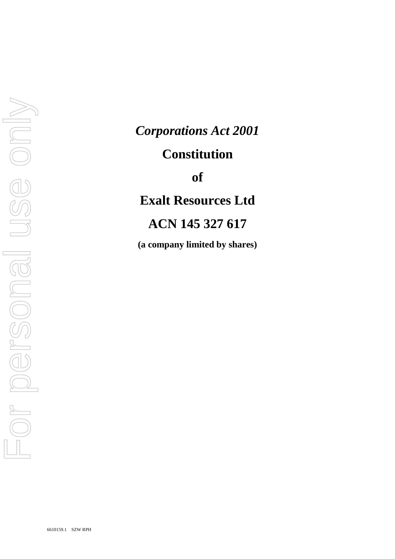# *Corporations Act 2001*

# **Constitution**

**of**

**Exalt Resources Ltd**

# **ACN 145 327 617**

**(a company limited by shares)**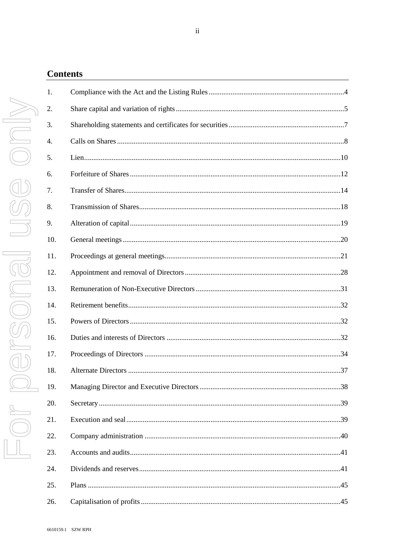| <b>Contents</b> |                            |
|-----------------|----------------------------|
| 1.              | Compliance with th         |
| 2.              | Share capital and v        |
| 3.              | Shareholding stater        |
| 4.              | Calls on Shares            |
| 5.              | Lien                       |
| 6.              | Forfeiture of Share        |
| 7.              | Transfer of Shares.        |
| 8.              | Transmission of Sh         |
| 9.              | Alteration of capita       |
| 10.             | General meetings           |
| 11.             | Proceedings at gen         |
| 12.             | Appointment and r          |
| 13.             | Remuneration of N          |
| 14.             | Retirement benefits        |
| 15.             | Powers of Director         |
| 16.             | Duties and interest:       |
| 17.             | Proceedings of Dir         |
| 18.             | <b>Alternate Directors</b> |
| 19.             | <b>Managing Director</b>   |
| 20.             | Secretary                  |
| 21.             | Execution and seal         |
| 22.             | Company administ           |
| 23.             | Accounts and audit         |
| 24              | Dividends and rese         |

| 1.  |  |
|-----|--|
| 2.  |  |
| 3.  |  |
| 4.  |  |
| 5.  |  |
| 6.  |  |
| 7.  |  |
| 8.  |  |
| 9.  |  |
| 10. |  |
| 11. |  |
| 12. |  |
| 13. |  |
| 14. |  |
| 15. |  |
| 16. |  |
| 17. |  |
| 18. |  |
|     |  |
| 20. |  |
| 21. |  |
| 22. |  |
| 23. |  |
| 24. |  |
| 25. |  |
| 26. |  |

 $\mathrm{ii}$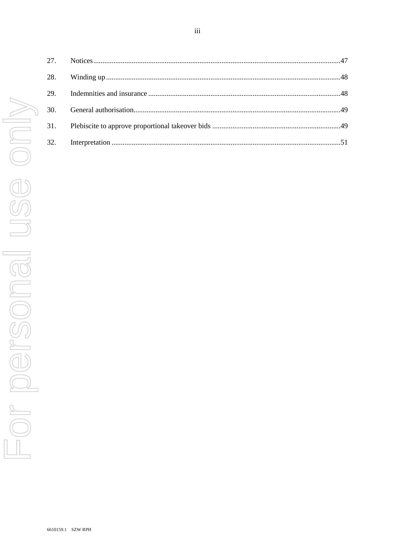| 28. |  |
|-----|--|
| 29. |  |
| 30. |  |
| 31. |  |
| 32. |  |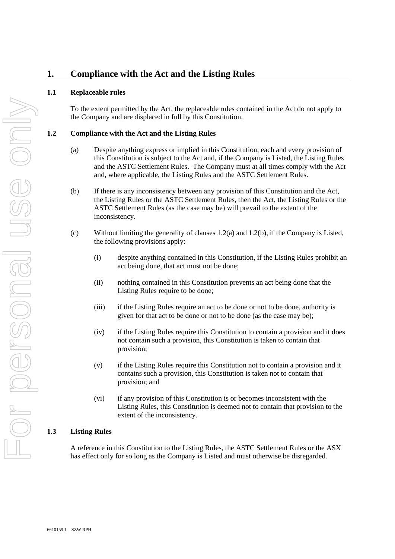# **1. Compliance with the Act and the Listing Rules**

## **1.1 Replaceable rules**

To the extent permitted by the Act, the replaceable rules contained in the Act do not apply to the Company and are displaced in full by this Constitution.

### **1.2 Compliance with the Act and the Listing Rules**

- (a) Despite anything express or implied in this Constitution, each and every provision of this Constitution is subject to the Act and, if the Company is Listed, the Listing Rules and the ASTC Settlement Rules. The Company must at all times comply with the Act and, where applicable, the Listing Rules and the ASTC Settlement Rules.
- (b) If there is any inconsistency between any provision of this Constitution and the Act, the Listing Rules or the ASTC Settlement Rules, then the Act, the Listing Rules or the ASTC Settlement Rules (as the case may be) will prevail to the extent of the inconsistency.
- (c) Without limiting the generality of clauses 1.2(a) and 1.2(b), if the Company is Listed, the following provisions apply:
	- (i) despite anything contained in this Constitution, if the Listing Rules prohibit an act being done, that act must not be done;
	- (ii) nothing contained in this Constitution prevents an act being done that the Listing Rules require to be done;
	- (iii) if the Listing Rules require an act to be done or not to be done, authority is given for that act to be done or not to be done (as the case may be);
	- (iv) if the Listing Rules require this Constitution to contain a provision and it does not contain such a provision, this Constitution is taken to contain that provision;
	- (v) if the Listing Rules require this Constitution not to contain a provision and it contains such a provision, this Constitution is taken not to contain that provision; and
	- (vi) if any provision of this Constitution is or becomes inconsistent with the Listing Rules, this Constitution is deemed not to contain that provision to the extent of the inconsistency.

## **1.3 Listing Rules**

A reference in this Constitution to the Listing Rules, the ASTC Settlement Rules or the ASX has effect only for so long as the Company is Listed and must otherwise be disregarded.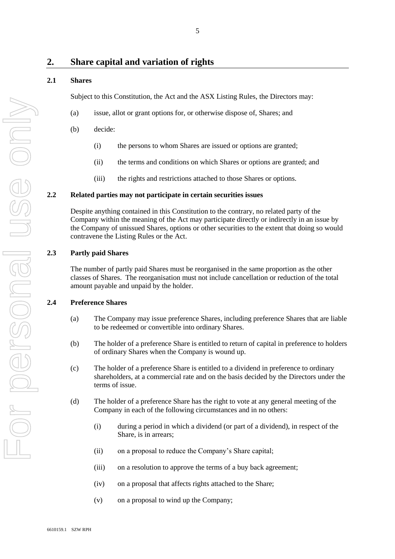## **2.1 Shares**

Subject to this Constitution, the Act and the ASX Listing Rules, the Directors may:

- (a) issue, allot or grant options for, or otherwise dispose of, Shares; and
- (b) decide:
	- (i) the persons to whom Shares are issued or options are granted;
	- (ii) the terms and conditions on which Shares or options are granted; and
	- (iii) the rights and restrictions attached to those Shares or options.

## **2.2 Related parties may not participate in certain securities issues**

Despite anything contained in this Constitution to the contrary, no related party of the Company within the meaning of the Act may participate directly or indirectly in an issue by the Company of unissued Shares, options or other securities to the extent that doing so would contravene the Listing Rules or the Act.

## **2.3 Partly paid Shares**

The number of partly paid Shares must be reorganised in the same proportion as the other classes of Shares. The reorganisation must not include cancellation or reduction of the total amount payable and unpaid by the holder.

## **2.4 Preference Shares**

- (a) The Company may issue preference Shares, including preference Shares that are liable to be redeemed or convertible into ordinary Shares.
- (b) The holder of a preference Share is entitled to return of capital in preference to holders of ordinary Shares when the Company is wound up.
- (c) The holder of a preference Share is entitled to a dividend in preference to ordinary shareholders, at a commercial rate and on the basis decided by the Directors under the terms of issue.
- (d) The holder of a preference Share has the right to vote at any general meeting of the Company in each of the following circumstances and in no others:
	- (i) during a period in which a dividend (or part of a dividend), in respect of the Share, is in arrears;
	- (ii) on a proposal to reduce the Company's Share capital;
	- (iii) on a resolution to approve the terms of a buy back agreement;
	- (iv) on a proposal that affects rights attached to the Share;
	- (v) on a proposal to wind up the Company;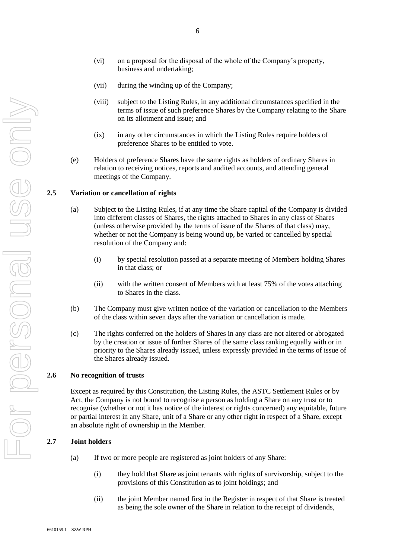- (vi) on a proposal for the disposal of the whole of the Company's property, business and undertaking;
- (vii) during the winding up of the Company;
- (viii) subject to the Listing Rules, in any additional circumstances specified in the terms of issue of such preference Shares by the Company relating to the Share on its allotment and issue; and
- (ix) in any other circumstances in which the Listing Rules require holders of preference Shares to be entitled to vote.
- (e) Holders of preference Shares have the same rights as holders of ordinary Shares in relation to receiving notices, reports and audited accounts, and attending general meetings of the Company.

## <span id="page-5-0"></span>**2.5 Variation or cancellation of rights**

- (a) Subject to the Listing Rules, if at any time the Share capital of the Company is divided into different classes of Shares, the rights attached to Shares in any class of Shares (unless otherwise provided by the terms of issue of the Shares of that class) may, whether or not the Company is being wound up, be varied or cancelled by special resolution of the Company and:
	- (i) by special resolution passed at a separate meeting of Members holding Shares in that class; or
	- (ii) with the written consent of Members with at least 75% of the votes attaching to Shares in the class.
- (b) The Company must give written notice of the variation or cancellation to the Members of the class within seven days after the variation or cancellation is made.
- (c) The rights conferred on the holders of Shares in any class are not altered or abrogated by the creation or issue of further Shares of the same class ranking equally with or in priority to the Shares already issued, unless expressly provided in the terms of issue of the Shares already issued.

#### **2.6 No recognition of trusts**

Except as required by this Constitution, the Listing Rules, the ASTC Settlement Rules or by Act, the Company is not bound to recognise a person as holding a Share on any trust or to recognise (whether or not it has notice of the interest or rights concerned) any equitable, future or partial interest in any Share, unit of a Share or any other right in respect of a Share, except an absolute right of ownership in the Member.

#### **2.7 Joint holders**

- (a) If two or more people are registered as joint holders of any Share:
	- (i) they hold that Share as joint tenants with rights of survivorship, subject to the provisions of this Constitution as to joint holdings; and
	- (ii) the joint Member named first in the Register in respect of that Share is treated as being the sole owner of the Share in relation to the receipt of dividends,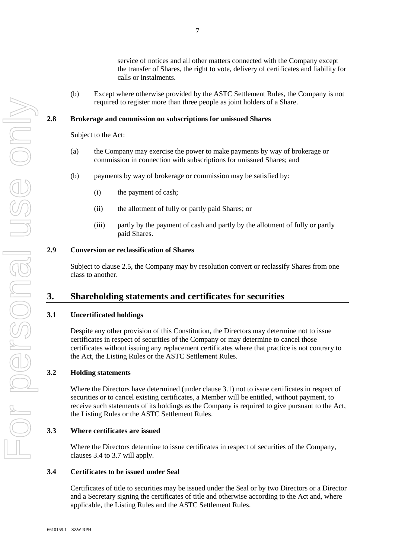service of notices and all other matters connected with the Company except the transfer of Shares, the right to vote, delivery of certificates and liability for calls or instalments.

(b) Except where otherwise provided by the ASTC Settlement Rules, the Company is not required to register more than three people as joint holders of a Share.

#### **2.8 Brokerage and commission on subscriptions for unissued Shares**

Subject to the Act:

- (a) the Company may exercise the power to make payments by way of brokerage or commission in connection with subscriptions for unissued Shares; and
- (b) payments by way of brokerage or commission may be satisfied by:
	- (i) the payment of cash;
	- (ii) the allotment of fully or partly paid Shares; or
	- (iii) partly by the payment of cash and partly by the allotment of fully or partly paid Shares.

#### **2.9 Conversion or reclassification of Shares**

Subject to clause [2.5,](#page-5-0) the Company may by resolution convert or reclassify Shares from one class to another.

## **3. Shareholding statements and certificates for securities**

## **3.1 Uncertificated holdings**

Despite any other provision of this Constitution, the Directors may determine not to issue certificates in respect of securities of the Company or may determine to cancel those certificates without issuing any replacement certificates where that practice is not contrary to the Act, the Listing Rules or the ASTC Settlement Rules.

#### **3.2 Holding statements**

Where the Directors have determined (under clause 3.1) not to issue certificates in respect of securities or to cancel existing certificates, a Member will be entitled, without payment, to receive such statements of its holdings as the Company is required to give pursuant to the Act, the Listing Rules or the ASTC Settlement Rules.

#### **3.3 Where certificates are issued**

Where the Directors determine to issue certificates in respect of securities of the Company, clauses 3.4 to 3.7 will apply.

#### **3.4 Certificates to be issued under Seal**

Certificates of title to securities may be issued under the Seal or by two Directors or a Director and a Secretary signing the certificates of title and otherwise according to the Act and, where applicable, the Listing Rules and the ASTC Settlement Rules.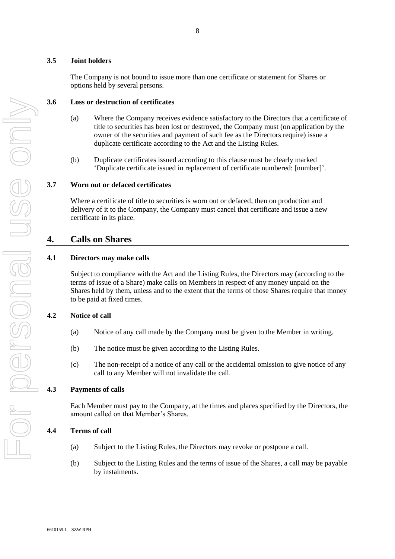## **3.5 Joint holders**

The Company is not bound to issue more than one certificate or statement for Shares or options held by several persons.

#### **3.6 Loss or destruction of certificates**

- (a) Where the Company receives evidence satisfactory to the Directors that a certificate of title to securities has been lost or destroyed, the Company must (on application by the owner of the securities and payment of such fee as the Directors require) issue a duplicate certificate according to the Act and the Listing Rules.
- (b) Duplicate certificates issued according to this clause must be clearly marked 'Duplicate certificate issued in replacement of certificate numbered: [number]'.

#### **3.7 Worn out or defaced certificates**

Where a certificate of title to securities is worn out or defaced, then on production and delivery of it to the Company, the Company must cancel that certificate and issue a new certificate in its place.

## **4. Calls on Shares**

## **4.1 Directors may make calls**

Subject to compliance with the Act and the Listing Rules, the Directors may (according to the terms of issue of a Share) make calls on Members in respect of any money unpaid on the Shares held by them, unless and to the extent that the terms of those Shares require that money to be paid at fixed times.

## **4.2 Notice of call**

- (a) Notice of any call made by the Company must be given to the Member in writing.
- (b) The notice must be given according to the Listing Rules.
- (c) The non-receipt of a notice of any call or the accidental omission to give notice of any call to any Member will not invalidate the call.

## **4.3 Payments of calls**

Each Member must pay to the Company, at the times and places specified by the Directors, the amount called on that Member's Shares.

#### **4.4 Terms of call**

- (a) Subject to the Listing Rules, the Directors may revoke or postpone a call.
- (b) Subject to the Listing Rules and the terms of issue of the Shares, a call may be payable by instalments.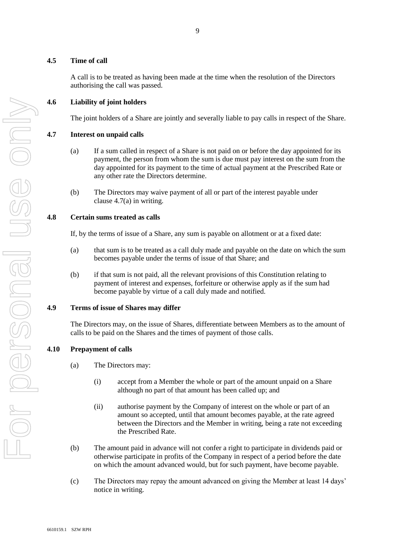## **4.5 Time of call**

A call is to be treated as having been made at the time when the resolution of the Directors authorising the call was passed.

## **4.6 Liability of joint holders**

The joint holders of a Share are jointly and severally liable to pay calls in respect of the Share.

## **4.7 Interest on unpaid calls**

- (a) If a sum called in respect of a Share is not paid on or before the day appointed for its payment, the person from whom the sum is due must pay interest on the sum from the day appointed for its payment to the time of actual payment at the Prescribed Rate or any other rate the Directors determine.
- (b) The Directors may waive payment of all or part of the interest payable under clause 4.7(a) in writing.

## **4.8 Certain sums treated as calls**

If, by the terms of issue of a Share, any sum is payable on allotment or at a fixed date:

- (a) that sum is to be treated as a call duly made and payable on the date on which the sum becomes payable under the terms of issue of that Share; and
- (b) if that sum is not paid, all the relevant provisions of this Constitution relating to payment of interest and expenses, forfeiture or otherwise apply as if the sum had become payable by virtue of a call duly made and notified.

## **4.9 Terms of issue of Shares may differ**

The Directors may, on the issue of Shares, differentiate between Members as to the amount of calls to be paid on the Shares and the times of payment of those calls.

## **4.10 Prepayment of calls**

- (a) The Directors may:
	- (i) accept from a Member the whole or part of the amount unpaid on a Share although no part of that amount has been called up; and
	- (ii) authorise payment by the Company of interest on the whole or part of an amount so accepted, until that amount becomes payable, at the rate agreed between the Directors and the Member in writing, being a rate not exceeding the Prescribed Rate.
- (b) The amount paid in advance will not confer a right to participate in dividends paid or otherwise participate in profits of the Company in respect of a period before the date on which the amount advanced would, but for such payment, have become payable.
- (c) The Directors may repay the amount advanced on giving the Member at least 14 days' notice in writing.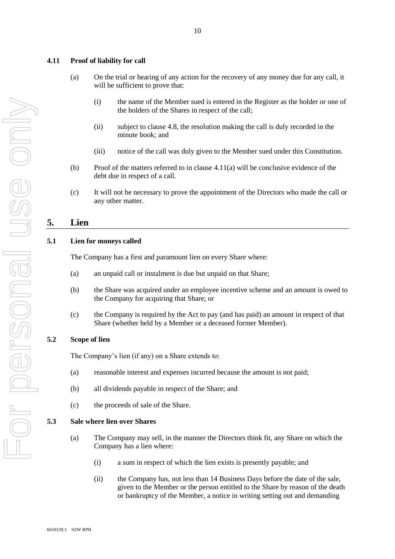## **4.11 Proof of liability for call**

- (a) On the trial or hearing of any action for the recovery of any money due for any call, it will be sufficient to prove that:
	- (i) the name of the Member sued is entered in the Register as the holder or one of the holders of the Shares in respect of the call;
	- (ii) subject to clause 4.8, the resolution making the call is duly recorded in the minute book; and
	- (iii) notice of the call was duly given to the Member sued under this Constitution.
- (b) Proof of the matters referred to in clause  $4.11(a)$  will be conclusive evidence of the debt due in respect of a call.
- (c) It will not be necessary to prove the appointment of the Directors who made the call or any other matter.

# <span id="page-9-1"></span>**5. Lien**

## **5.1 Lien for moneys called**

The Company has a first and paramount lien on every Share where:

- (a) an unpaid call or instalment is due but unpaid on that Share;
- (b) the Share was acquired under an employee incentive scheme and an amount is owed to the Company for acquiring that Share; or
- (c) the Company is required by the Act to pay (and has paid) an amount in respect of that Share (whether held by a Member or a deceased former Member).

## **5.2 Scope of lien**

The Company's lien (if any) on a Share extends to:

- (a) reasonable interest and expenses incurred because the amount is not paid;
- (b) all dividends payable in respect of the Share; and
- (c) the proceeds of sale of the Share.

#### <span id="page-9-0"></span>**5.3 Sale where lien over Shares**

- (a) The Company may sell, in the manner the Directors think fit, any Share on which the Company has a lien where:
	- (i) a sum in respect of which the lien exists is presently payable; and
	- (ii) the Company has, not less than 14 Business Days before the date of the sale, given to the Member or the person entitled to the Share by reason of the death or bankruptcy of the Member, a notice in writing setting out and demanding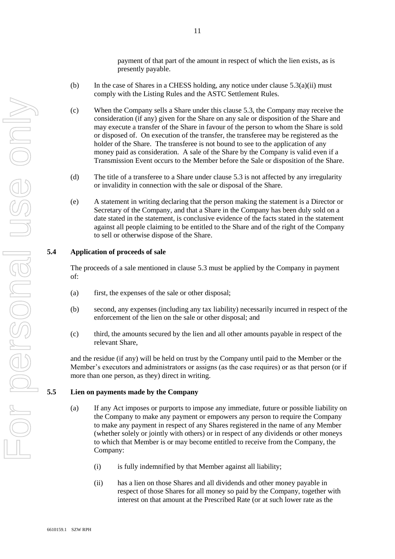payment of that part of the amount in respect of which the lien exists, as is presently payable.

- (b) In the case of Shares in a CHESS holding, any notice under clause  $5.3(a)(ii)$  must comply with the Listing Rules and the ASTC Settlement Rules.
- (c) When the Company sells a Share under this clause [5.3,](#page-9-0) the Company may receive the consideration (if any) given for the Share on any sale or disposition of the Share and may execute a transfer of the Share in favour of the person to whom the Share is sold or disposed of. On execution of the transfer, the transferee may be registered as the holder of the Share. The transferee is not bound to see to the application of any money paid as consideration. A sale of the Share by the Company is valid even if a Transmission Event occurs to the Member before the Sale or disposition of the Share.
- (d) The title of a transferee to a Share under clause [5.3](#page-9-0) is not affected by any irregularity or invalidity in connection with the sale or disposal of the Share.
- (e) A statement in writing declaring that the person making the statement is a Director or Secretary of the Company, and that a Share in the Company has been duly sold on a date stated in the statement, is conclusive evidence of the facts stated in the statement against all people claiming to be entitled to the Share and of the right of the Company to sell or otherwise dispose of the Share.

#### **5.4 Application of proceeds of sale**

The proceeds of a sale mentioned in clause 5.3 must be applied by the Company in payment of:

- (a) first, the expenses of the sale or other disposal;
- (b) second, any expenses (including any tax liability) necessarily incurred in respect of the enforcement of the lien on the sale or other disposal; and
- (c) third, the amounts secured by the lien and all other amounts payable in respect of the relevant Share,

and the residue (if any) will be held on trust by the Company until paid to the Member or the Member's executors and administrators or assigns (as the case requires) or as that person (or if more than one person, as they) direct in writing.

## **5.5 Lien on payments made by the Company**

- (a) If any Act imposes or purports to impose any immediate, future or possible liability on the Company to make any payment or empowers any person to require the Company to make any payment in respect of any Shares registered in the name of any Member (whether solely or jointly with others) or in respect of any dividends or other moneys to which that Member is or may become entitled to receive from the Company, the Company:
	- (i) is fully indemnified by that Member against all liability;
	- (ii) has a lien on those Shares and all dividends and other money payable in respect of those Shares for all money so paid by the Company, together with interest on that amount at the Prescribed Rate (or at such lower rate as the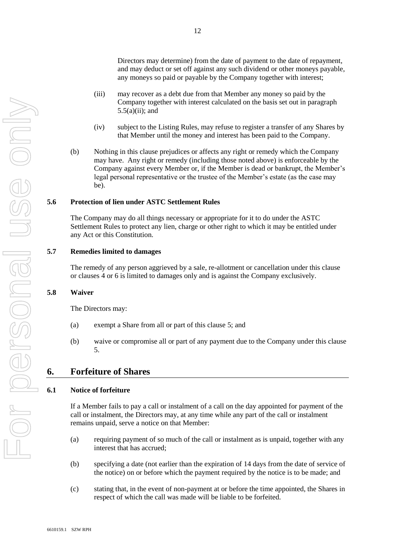Directors may determine) from the date of payment to the date of repayment, and may deduct or set off against any such dividend or other moneys payable, any moneys so paid or payable by the Company together with interest;

- (iii) may recover as a debt due from that Member any money so paid by the Company together with interest calculated on the basis set out in paragraph  $5.5(a)(ii)$ ; and
- (iv) subject to the Listing Rules, may refuse to register a transfer of any Shares by that Member until the money and interest has been paid to the Company.
- (b) Nothing in this clause prejudices or affects any right or remedy which the Company may have. Any right or remedy (including those noted above) is enforceable by the Company against every Member or, if the Member is dead or bankrupt, the Member's legal personal representative or the trustee of the Member's estate (as the case may be).

#### **5.6 Protection of lien under ASTC Settlement Rules**

The Company may do all things necessary or appropriate for it to do under the ASTC Settlement Rules to protect any lien, charge or other right to which it may be entitled under any Act or this Constitution.

#### **5.7 Remedies limited to damages**

The remedy of any person aggrieved by a sale, re-allotment or cancellation under this clause or clauses 4 or 6 is limited to damages only and is against the Company exclusively.

#### **5.8 Waiver**

The Directors may:

- (a) exempt a Share from all or part of this clause [5;](#page-9-1) and
- (b) waive or compromise all or part of any payment due to the Company under this clause [5.](#page-9-1)

## <span id="page-11-0"></span>**6. Forfeiture of Shares**

## **6.1 Notice of forfeiture**

If a Member fails to pay a call or instalment of a call on the day appointed for payment of the call or instalment, the Directors may, at any time while any part of the call or instalment remains unpaid, serve a notice on that Member:

- (a) requiring payment of so much of the call or instalment as is unpaid, together with any interest that has accrued;
- (b) specifying a date (not earlier than the expiration of 14 days from the date of service of the notice) on or before which the payment required by the notice is to be made; and
- (c) stating that, in the event of non-payment at or before the time appointed, the Shares in respect of which the call was made will be liable to be forfeited.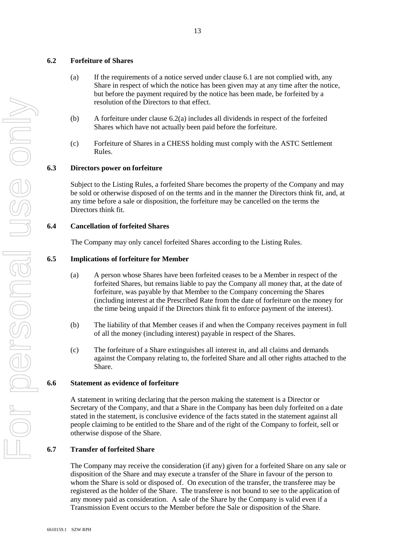## **6.2 Forfeiture of Shares**

- (a) If the requirements of a notice served under clause 6.1 are not complied with, any Share in respect of which the notice has been given may at any time after the notice, but before the payment required by the notice has been made, be forfeited by a resolution of the Directors to that effect.
- (b) A forfeiture under clause 6.2(a) includes all dividends in respect of the forfeited Shares which have not actually been paid before the forfeiture.

13

(c) Forfeiture of Shares in a CHESS holding must comply with the ASTC Settlement Rules.

## **6.3 Directors power on forfeiture**

Subject to the Listing Rules, a forfeited Share becomes the property of the Company and may be sold or otherwise disposed of on the terms and in the manner the Directors think fit, and, at any time before a sale or disposition, the forfeiture may be cancelled on the terms the Directors think fit.

#### **6.4 Cancellation of forfeited Shares**

The Company may only cancel forfeited Shares according to the Listing Rules.

## **6.5 Implications of forfeiture for Member**

- (a) A person whose Shares have been forfeited ceases to be a Member in respect of the forfeited Shares, but remains liable to pay the Company all money that, at the date of forfeiture, was payable by that Member to the Company concerning the Shares (including interest at the Prescribed Rate from the date of forfeiture on the money for the time being unpaid if the Directors think fit to enforce payment of the interest).
- (b) The liability of that Member ceases if and when the Company receives payment in full of all the money (including interest) payable in respect of the Shares.
- (c) The forfeiture of a Share extinguishes all interest in, and all claims and demands against the Company relating to, the forfeited Share and all other rights attached to the Share.

#### **6.6 Statement as evidence of forfeiture**

A statement in writing declaring that the person making the statement is a Director or Secretary of the Company, and that a Share in the Company has been duly forfeited on a date stated in the statement, is conclusive evidence of the facts stated in the statement against all people claiming to be entitled to the Share and of the right of the Company to forfeit, sell or otherwise dispose of the Share.

#### **6.7 Transfer of forfeited Share**

The Company may receive the consideration (if any) given for a forfeited Share on any sale or disposition of the Share and may execute a transfer of the Share in favour of the person to whom the Share is sold or disposed of. On execution of the transfer, the transferee may be registered as the holder of the Share. The transferee is not bound to see to the application of any money paid as consideration. A sale of the Share by the Company is valid even if a Transmission Event occurs to the Member before the Sale or disposition of the Share.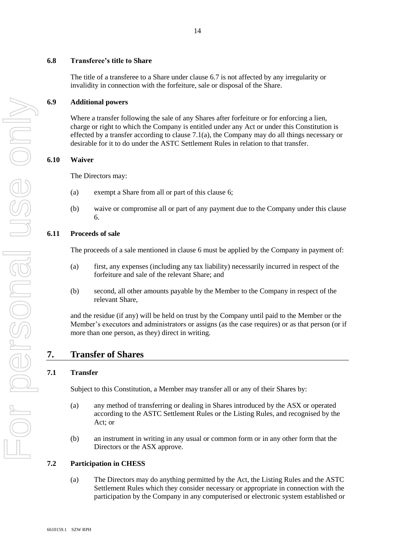# **6.8 Transferee's title to Share**

The title of a transferee to a Share under clause 6.7 is not affected by any irregularity or invalidity in connection with the forfeiture, sale or disposal of the Share.

# **6.9 Additional powers**

Where a transfer following the sale of any Shares after forfeiture or for enforcing a lien, charge or right to which the Company is entitled under any Act or under this Constitution is effected by a transfer according to clause  $7.1(a)$ , the Company may do all things necessary or desirable for it to do under the ASTC Settlement Rules in relation to that transfer.

# **6.10 Waiver**

The Directors may:

- (a) exempt a Share from all or part of this clause [6;](#page-11-0)
- (b) waive or compromise all or part of any payment due to the Company under this clause [6.](#page-11-0)

# **6.11 Proceeds of sale**

The proceeds of a sale mentioned in clause [6](#page-11-0) must be applied by the Company in payment of:

- (a) first, any expenses (including any tax liability) necessarily incurred in respect of the forfeiture and sale of the relevant Share; and
- (b) second, all other amounts payable by the Member to the Company in respect of the relevant Share,

and the residue (if any) will be held on trust by the Company until paid to the Member or the Member's executors and administrators or assigns (as the case requires) or as that person (or if more than one person, as they) direct in writing.

# **7. Transfer of Shares**

# <span id="page-13-0"></span>**7.1 Transfer**

Subject to this Constitution, a Member may transfer all or any of their Shares by:

- (a) any method of transferring or dealing in Shares introduced by the ASX or operated according to the ASTC Settlement Rules or the Listing Rules, and recognised by the Act; or
- (b) an instrument in writing in any usual or common form or in any other form that the Directors or the ASX approve.

# <span id="page-13-1"></span>**7.2 Participation in CHESS**

(a) The Directors may do anything permitted by the Act, the Listing Rules and the ASTC Settlement Rules which they consider necessary or appropriate in connection with the participation by the Company in any computerised or electronic system established or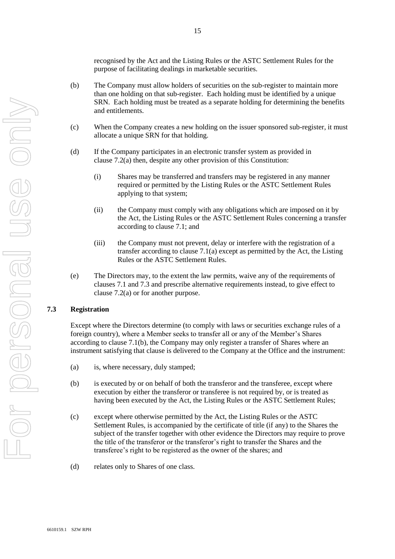recognised by the Act and the Listing Rules or the ASTC Settlement Rules for the purpose of facilitating dealings in marketable securities.

- (b) The Company must allow holders of securities on the sub-register to maintain more than one holding on that sub-register. Each holding must be identified by a unique SRN. Each holding must be treated as a separate holding for determining the benefits and entitlements.
- (c) When the Company creates a new holding on the issuer sponsored sub-register, it must allocate a unique SRN for that holding.
- (d) If the Company participates in an electronic transfer system as provided in clause 7.2(a) then, despite any other provision of this Constitution:
	- (i) Shares may be transferred and transfers may be registered in any manner required or permitted by the Listing Rules or the ASTC Settlement Rules applying to that system;
	- (ii) the Company must comply with any obligations which are imposed on it by the Act, the Listing Rules or the ASTC Settlement Rules concerning a transfer according to clause 7.1; and
	- (iii) the Company must not prevent, delay or interfere with the registration of a transfer according to clause 7.1(a) except as permitted by the Act, the Listing Rules or the ASTC Settlement Rules.
- (e) The Directors may, to the extent the law permits, waive any of the requirements of clauses [7.1](#page-13-0) and [7.3](#page-14-0) and prescribe alternative requirements instead, to give effect to clause [7.2\(a\)](#page-13-1) or for another purpose.

## <span id="page-14-0"></span>**7.3 Registration**

Except where the Directors determine (to comply with laws or securities exchange rules of a foreign country), where a Member seeks to transfer all or any of the Member's Shares according to clause 7.1(b), the Company may only register a transfer of Shares where an instrument satisfying that clause is delivered to the Company at the Office and the instrument:

- (a) is, where necessary, duly stamped;
- (b) is executed by or on behalf of both the transferor and the transferee, except where execution by either the transferor or transferee is not required by, or is treated as having been executed by the Act, the Listing Rules or the ASTC Settlement Rules;
- (c) except where otherwise permitted by the Act, the Listing Rules or the ASTC Settlement Rules, is accompanied by the certificate of title (if any) to the Shares the subject of the transfer together with other evidence the Directors may require to prove the title of the transferor or the transferor's right to transfer the Shares and the transferee's right to be registered as the owner of the shares; and
- (d) relates only to Shares of one class.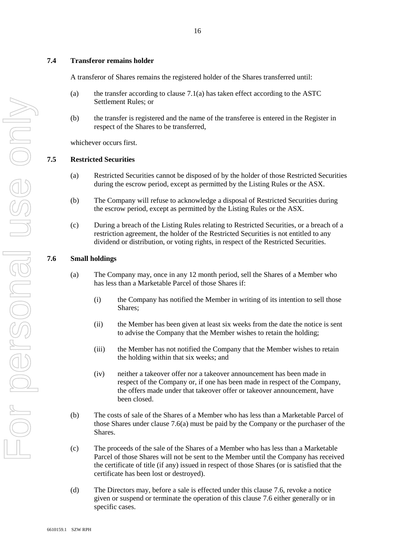#### **7.4 Transferor remains holder**

A transferor of Shares remains the registered holder of the Shares transferred until:

- (a) the transfer according to clause  $7.1(a)$  has taken effect according to the ASTC Settlement Rules; or
- (b) the transfer is registered and the name of the transferee is entered in the Register in respect of the Shares to be transferred,

whichever occurs first.

#### **7.5 Restricted Securities**

- (a) Restricted Securities cannot be disposed of by the holder of those Restricted Securities during the escrow period, except as permitted by the Listing Rules or the ASX.
- (b) The Company will refuse to acknowledge a disposal of Restricted Securities during the escrow period, except as permitted by the Listing Rules or the ASX.
- (c) During a breach of the Listing Rules relating to Restricted Securities, or a breach of a restriction agreement, the holder of the Restricted Securities is not entitled to any dividend or distribution, or voting rights, in respect of the Restricted Securities.

#### <span id="page-15-0"></span>**7.6 Small holdings**

- (a) The Company may, once in any 12 month period, sell the Shares of a Member who has less than a Marketable Parcel of those Shares if:
	- (i) the Company has notified the Member in writing of its intention to sell those Shares;
	- (ii) the Member has been given at least six weeks from the date the notice is sent to advise the Company that the Member wishes to retain the holding;
	- (iii) the Member has not notified the Company that the Member wishes to retain the holding within that six weeks; and
	- (iv) neither a takeover offer nor a takeover announcement has been made in respect of the Company or, if one has been made in respect of the Company, the offers made under that takeover offer or takeover announcement, have been closed.
- (b) The costs of sale of the Shares of a Member who has less than a Marketable Parcel of those Shares under clause 7.6(a) must be paid by the Company or the purchaser of the Shares.
- (c) The proceeds of the sale of the Shares of a Member who has less than a Marketable Parcel of those Shares will not be sent to the Member until the Company has received the certificate of title (if any) issued in respect of those Shares (or is satisfied that the certificate has been lost or destroyed).
- (d) The Directors may, before a sale is effected under this clause [7.6,](#page-15-0) revoke a notice given or suspend or terminate the operation of this clause [7.6](#page-15-0) either generally or in specific cases.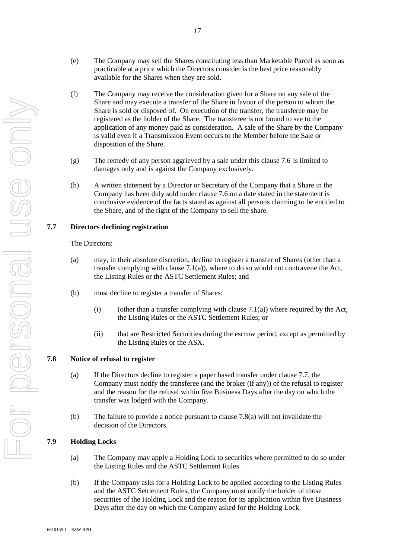- (e) The Company may sell the Shares constituting less than Marketable Parcel as soon as practicable at a price which the Directors consider is the best price reasonably available for the Shares when they are sold.
- (f) The Company may receive the consideration given for a Share on any sale of the Share and may execute a transfer of the Share in favour of the person to whom the Share is sold or disposed of. On execution of the transfer, the transferee may be registered as the holder of the Share. The transferee is not bound to see to the application of any money paid as consideration. A sale of the Share by the Company is valid even if a Transmission Event occurs to the Member before the Sale or disposition of the Share.
- (g) The remedy of any person aggrieved by a sale under this clause [7.6](#page-15-0) is limited to damages only and is against the Company exclusively.
- (h) A written statement by a Director or Secretary of the Company that a Share in the Company has been duly sold under clause [7.6](#page-15-0) on a date stated in the statement is conclusive evidence of the facts stated as against all persons claiming to be entitled to the Share, and of the right of the Company to sell the share.

## <span id="page-16-0"></span>**7.7 Directors declining registration**

#### The Directors:

- (a) may, in their absolute discretion, decline to register a transfer of Shares (other than a transfer complying with clause 7.1(a)), where to do so would not contravene the Act, the Listing Rules or the ASTC Settlement Rules; and
- (b) must decline to register a transfer of Shares:
	- (i) (other than a transfer complying with clause 7.1(a)) where required by the Act, the Listing Rules or the ASTC Settlement Rules; or
	- (ii) that are Restricted Securities during the escrow period, except as permitted by the Listing Rules or the ASX.

## **7.8 Notice of refusal to register**

- (a) If the Directors decline to register a paper based transfer under clause 7.7, the Company must notify the transferee (and the broker (if any)) of the refusal to register and the reason for the refusal within five Business Days after the day on which the transfer was lodged with the Company.
- (b) The failure to provide a notice pursuant to clause 7.8(a) will not invalidate the decision of the Directors.

#### **7.9 Holding Locks**

- (a) The Company may apply a Holding Lock to securities where permitted to do so under the Listing Rules and the ASTC Settlement Rules.
- (b) If the Company asks for a Holding Lock to be applied according to the Listing Rules and the ASTC Settlement Rules, the Company must notify the holder of those securities of the Holding Lock and the reason for its application within five Business Days after the day on which the Company asked for the Holding Lock.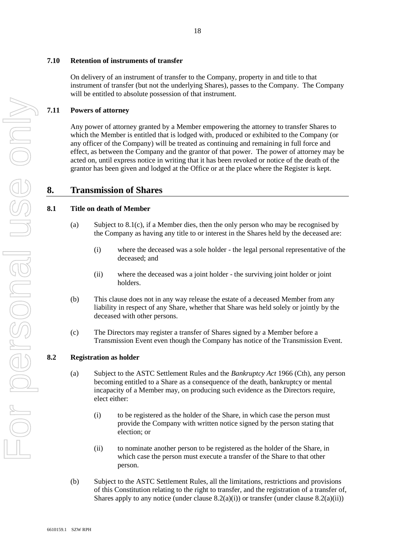# **7.10 Retention of instruments of transfer**

On delivery of an instrument of transfer to the Company, property in and title to that instrument of transfer (but not the underlying Shares), passes to the Company. The Company will be entitled to absolute possession of that instrument.

# **7.11 Powers of attorney**

Any power of attorney granted by a Member empowering the attorney to transfer Shares to which the Member is entitled that is lodged with, produced or exhibited to the Company (or any officer of the Company) will be treated as continuing and remaining in full force and effect, as between the Company and the grantor of that power. The power of attorney may be acted on, until express notice in writing that it has been revoked or notice of the death of the grantor has been given and lodged at the Office or at the place where the Register is kept.

# **8. Transmission of Shares**

# **8.1 Title on death of Member**

- (a) Subject to [8.1\(c\),](#page-17-0) if a Member dies, then the only person who may be recognised by the Company as having any title to or interest in the Shares held by the deceased are:
	- (i) where the deceased was a sole holder the legal personal representative of the deceased; and
	- (ii) where the deceased was a joint holder the surviving joint holder or joint holders.
- (b) This clause does not in any way release the estate of a deceased Member from any liability in respect of any Share, whether that Share was held solely or jointly by the deceased with other persons.
- <span id="page-17-0"></span>(c) The Directors may register a transfer of Shares signed by a Member before a Transmission Event even though the Company has notice of the Transmission Event.

# **8.2 Registration as holder**

- (a) Subject to the ASTC Settlement Rules and the *Bankruptcy Act* 1966 (Cth), any person becoming entitled to a Share as a consequence of the death, bankruptcy or mental incapacity of a Member may, on producing such evidence as the Directors require, elect either:
	- (i) to be registered as the holder of the Share, in which case the person must provide the Company with written notice signed by the person stating that election; or
	- (ii) to nominate another person to be registered as the holder of the Share, in which case the person must execute a transfer of the Share to that other person.
- (b) Subject to the ASTC Settlement Rules, all the limitations, restrictions and provisions of this Constitution relating to the right to transfer, and the registration of a transfer of, Shares apply to any notice (under clause  $8.2(a)(i)$ ) or transfer (under clause  $8.2(a)(ii)$ )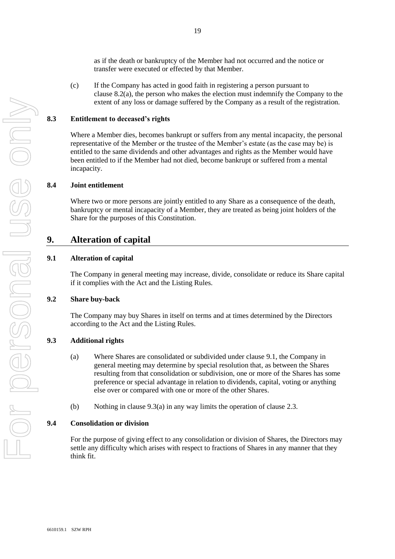as if the death or bankruptcy of the Member had not occurred and the notice or transfer were executed or effected by that Member.

(c) If the Company has acted in good faith in registering a person pursuant to clause 8.2(a), the person who makes the election must indemnify the Company to the extent of any loss or damage suffered by the Company as a result of the registration.

#### **8.3 Entitlement to deceased's rights**

Where a Member dies, becomes bankrupt or suffers from any mental incapacity, the personal representative of the Member or the trustee of the Member's estate (as the case may be) is entitled to the same dividends and other advantages and rights as the Member would have been entitled to if the Member had not died, become bankrupt or suffered from a mental incapacity.

## **8.4 Joint entitlement**

Where two or more persons are jointly entitled to any Share as a consequence of the death, bankruptcy or mental incapacity of a Member, they are treated as being joint holders of the Share for the purposes of this Constitution.

## **9. Alteration of capital**

## **9.1 Alteration of capital**

The Company in general meeting may increase, divide, consolidate or reduce its Share capital if it complies with the Act and the Listing Rules.

#### **9.2 Share buy-back**

The Company may buy Shares in itself on terms and at times determined by the Directors according to the Act and the Listing Rules.

## **9.3 Additional rights**

- (a) Where Shares are consolidated or subdivided under clause 9.1, the Company in general meeting may determine by special resolution that, as between the Shares resulting from that consolidation or subdivision, one or more of the Shares has some preference or special advantage in relation to dividends, capital, voting or anything else over or compared with one or more of the other Shares.
- (b) Nothing in clause 9.3(a) in any way limits the operation of clause 2.3.

#### **9.4 Consolidation or division**

For the purpose of giving effect to any consolidation or division of Shares, the Directors may settle any difficulty which arises with respect to fractions of Shares in any manner that they think fit.

19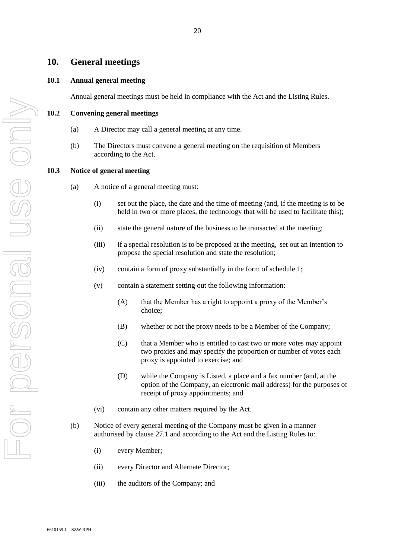## **10. General meetings**

#### **10.1 Annual general meeting**

Annual general meetings must be held in compliance with the Act and the Listing Rules.

**10.2 Convening general meetings**

- 
- (a) A Director may call a general meeting at any time.
- (b) The Directors must convene a general meeting on the requisition of Members according to the Act.

## **10.3 Notice of general meeting**

- (a) A notice of a general meeting must:
	- (i) set out the place, the date and the time of meeting (and, if the meeting is to be held in two or more places, the technology that will be used to facilitate this);
	- (ii) state the general nature of the business to be transacted at the meeting;
	- (iii) if a special resolution is to be proposed at the meeting, -set out an intention to propose the special resolution and state the resolution;
	- (iv) contain a form of proxy substantially in the form of schedule 1;
	- (v) contain a statement setting out the following information:
		- (A) that the Member has a right to appoint a proxy of the Member's choice;
		- (B) whether or not the proxy needs to be a Member of the Company;
		- (C) that a Member who is entitled to cast two or more votes may appoint two proxies and may specify the proportion or number of votes each proxy is appointed to exercise; and
		- (D) while the Company is Listed, a place and a fax number (and, at the option of the Company, an electronic mail address) for the purposes of receipt of proxy appointments; and
	- (vi) contain any other matters required by the Act.
- (b) Notice of every general meeting of the Company must be given in a manner authorised by clause 27.1 and according to the Act and the Listing Rules to:
	- (i) every Member;
	- (ii) every Director and Alternate Director;
	- (iii) the auditors of the Company; and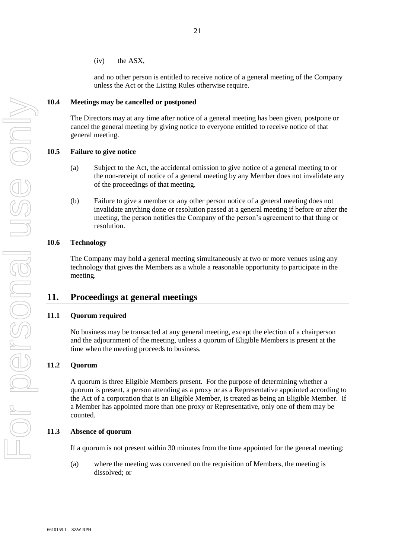and no other person is entitled to receive notice of a general meeting of the Company unless the Act or the Listing Rules otherwise require.

#### **10.4 Meetings may be cancelled or postponed**

The Directors may at any time after notice of a general meeting has been given, postpone or cancel the general meeting by giving notice to everyone entitled to receive notice of that general meeting.

#### **10.5 Failure to give notice**

- (a) Subject to the Act, the accidental omission to give notice of a general meeting to or the non-receipt of notice of a general meeting by any Member does not invalidate any of the proceedings of that meeting.
- (b) Failure to give a member or any other person notice of a general meeting does not invalidate anything done or resolution passed at a general meeting if before or after the meeting, the person notifies the Company of the person's agreement to that thing or resolution.

#### **10.6 Technology**

The Company may hold a general meeting simultaneously at two or more venues using any technology that gives the Members as a whole a reasonable opportunity to participate in the meeting.

# **11. Proceedings at general meetings**

#### **11.1 Quorum required**

No business may be transacted at any general meeting, except the election of a chairperson and the adjournment of the meeting, unless a quorum of Eligible Members is present at the time when the meeting proceeds to business.

## **11.2 Quorum**

A quorum is three Eligible Members present. For the purpose of determining whether a quorum is present, a person attending as a proxy or as a Representative appointed according to the Act of a corporation that is an Eligible Member, is treated as being an Eligible Member. If a Member has appointed more than one proxy or Representative, only one of them may be counted.

## **11.3 Absence of quorum**

If a quorum is not present within 30 minutes from the time appointed for the general meeting:

(a) where the meeting was convened on the requisition of Members, the meeting is dissolved; or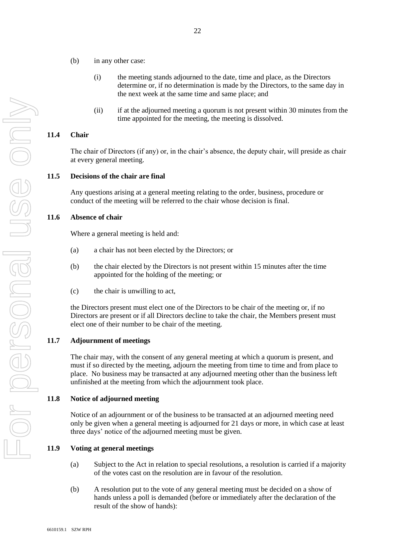- (b) in any other case:
	- (i) the meeting stands adjourned to the date, time and place, as the Directors determine or, if no determination is made by the Directors, to the same day in the next week at the same time and same place; and
	- (ii) if at the adjourned meeting a quorum is not present within 30 minutes from the time appointed for the meeting, the meeting is dissolved.

#### **11.4 Chair**

The chair of Directors (if any) or, in the chair's absence, the deputy chair, will preside as chair at every general meeting.

#### **11.5 Decisions of the chair are final**

Any questions arising at a general meeting relating to the order, business, procedure or conduct of the meeting will be referred to the chair whose decision is final.

#### **11.6 Absence of chair**

Where a general meeting is held and:

- (a) a chair has not been elected by the Directors; or
- (b) the chair elected by the Directors is not present within 15 minutes after the time appointed for the holding of the meeting; or
- (c) the chair is unwilling to act,

the Directors present must elect one of the Directors to be chair of the meeting or, if no Directors are present or if all Directors decline to take the chair, the Members present must elect one of their number to be chair of the meeting.

#### **11.7 Adjournment of meetings**

The chair may, with the consent of any general meeting at which a quorum is present, and must if so directed by the meeting, adjourn the meeting from time to time and from place to place. No business may be transacted at any adjourned meeting other than the business left unfinished at the meeting from which the adjournment took place.

#### **11.8 Notice of adjourned meeting**

Notice of an adjournment or of the business to be transacted at an adjourned meeting need only be given when a general meeting is adjourned for 21 days or more, in which case at least three days' notice of the adjourned meeting must be given.

#### **11.9 Voting at general meetings**

- (a) Subject to the Act in relation to special resolutions, a resolution is carried if a majority of the votes cast on the resolution are in favour of the resolution.
- (b) A resolution put to the vote of any general meeting must be decided on a show of hands unless a poll is demanded (before or immediately after the declaration of the result of the show of hands):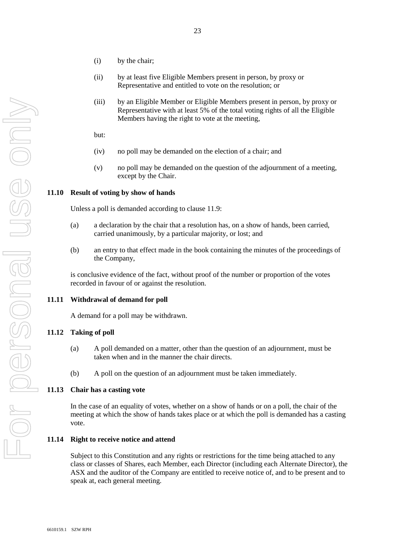- (i) by the chair;
- (ii) by at least five Eligible Members present in person, by proxy or Representative and entitled to vote on the resolution; or
- (iii) by an Eligible Member or Eligible Members present in person, by proxy or Representative with at least 5% of the total voting rights of all the Eligible Members having the right to vote at the meeting,

but:

- (iv) no poll may be demanded on the election of a chair; and
- (v) no poll may be demanded on the question of the adjournment of a meeting, except by the Chair.

## **11.10 Result of voting by show of hands**

Unless a poll is demanded according to clause 11.9:

- (a) a declaration by the chair that a resolution has, on a show of hands, been carried, carried unanimously, by a particular majority, or lost; and
- (b) an entry to that effect made in the book containing the minutes of the proceedings of the Company,

is conclusive evidence of the fact, without proof of the number or proportion of the votes recorded in favour of or against the resolution.

#### **11.11 Withdrawal of demand for poll**

A demand for a poll may be withdrawn.

#### **11.12 Taking of poll**

- (a) A poll demanded on a matter, other than the question of an adjournment, must be taken when and in the manner the chair directs.
- (b) A poll on the question of an adjournment must be taken immediately.

## **11.13 Chair has a casting vote**

In the case of an equality of votes, whether on a show of hands or on a poll, the chair of the meeting at which the show of hands takes place or at which the poll is demanded has a casting vote.

#### **11.14 Right to receive notice and attend**

Subject to this Constitution and any rights or restrictions for the time being attached to any class or classes of Shares, each Member, each Director (including each Alternate Director), the ASX and the auditor of the Company are entitled to receive notice of, and to be present and to speak at, each general meeting.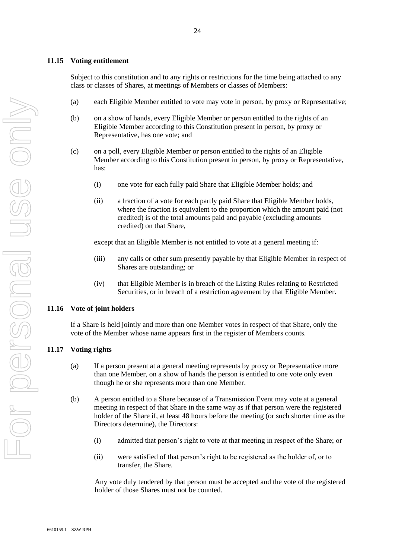## **11.15 Voting entitlement**

Subject to this constitution and to any rights or restrictions for the time being attached to any class or classes of Shares, at meetings of Members or classes of Members:

- (a) each Eligible Member entitled to vote may vote in person, by proxy or Representative;
- (b) on a show of hands, every Eligible Member or person entitled to the rights of an Eligible Member according to this Constitution present in person, by proxy or Representative, has one vote; and
- (c) on a poll, every Eligible Member or person entitled to the rights of an Eligible Member according to this Constitution present in person, by proxy or Representative, has:
	- (i) one vote for each fully paid Share that Eligible Member holds; and
	- (ii) a fraction of a vote for each partly paid Share that Eligible Member holds, where the fraction is equivalent to the proportion which the amount paid (not credited) is of the total amounts paid and payable (excluding amounts credited) on that Share,

except that an Eligible Member is not entitled to vote at a general meeting if:

- (iii) any calls or other sum presently payable by that Eligible Member in respect of Shares are outstanding; or
- (iv) that Eligible Member is in breach of the Listing Rules relating to Restricted Securities, or in breach of a restriction agreement by that Eligible Member.

## **11.16 Vote of joint holders**

If a Share is held jointly and more than one Member votes in respect of that Share, only the vote of the Member whose name appears first in the register of Members counts.

## **11.17 Voting rights**

- (a) If a person present at a general meeting represents by proxy or Representative more than one Member, on a show of hands the person is entitled to one vote only even though he or she represents more than one Member.
- (b) A person entitled to a Share because of a Transmission Event may vote at a general meeting in respect of that Share in the same way as if that person were the registered holder of the Share if, at least 48 hours before the meeting (or such shorter time as the Directors determine), the Directors:
	- (i) admitted that person's right to vote at that meeting in respect of the Share; or
	- (ii) were satisfied of that person's right to be registered as the holder of, or to transfer, the Share.

Any vote duly tendered by that person must be accepted and the vote of the registered holder of those Shares must not be counted.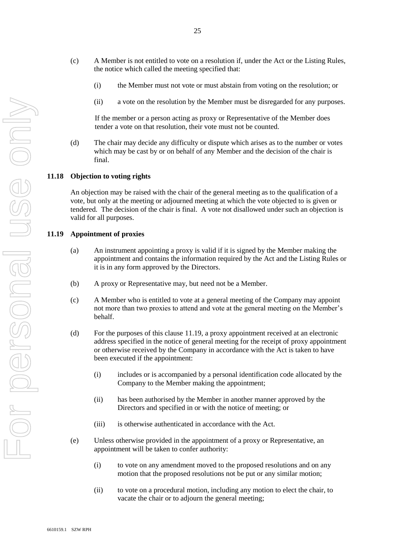- For personal use only VISO ONIX
- (c) A Member is not entitled to vote on a resolution if, under the Act or the Listing Rules, the notice which called the meeting specified that:
	- (i) the Member must not vote or must abstain from voting on the resolution; or
	- (ii) a vote on the resolution by the Member must be disregarded for any purposes.

If the member or a person acting as proxy or Representative of the Member does tender a vote on that resolution, their vote must not be counted.

(d) The chair may decide any difficulty or dispute which arises as to the number or votes which may be cast by or on behalf of any Member and the decision of the chair is final.

#### **11.18 Objection to voting rights**

An objection may be raised with the chair of the general meeting as to the qualification of a vote, but only at the meeting or adjourned meeting at which the vote objected to is given or tendered. The decision of the chair is final. A vote not disallowed under such an objection is valid for all purposes.

## <span id="page-24-0"></span>**11.19 Appointment of proxies**

- (a) An instrument appointing a proxy is valid if it is signed by the Member making the appointment and contains the information required by the Act and the Listing Rules or it is in any form approved by the Directors.
- (b) A proxy or Representative may, but need not be a Member.
- (c) A Member who is entitled to vote at a general meeting of the Company may appoint not more than two proxies to attend and vote at the general meeting on the Member's behalf.
- (d) For the purposes of this claus[e 11.19,](#page-24-0) a proxy appointment received at an electronic address specified in the notice of general meeting for the receipt of proxy appointment or otherwise received by the Company in accordance with the Act is taken to have been executed if the appointment:
	- (i) includes or is accompanied by a personal identification code allocated by the Company to the Member making the appointment;
	- (ii) has been authorised by the Member in another manner approved by the Directors and specified in or with the notice of meeting; or
	- (iii) is otherwise authenticated in accordance with the Act.
- (e) Unless otherwise provided in the appointment of a proxy or Representative, an appointment will be taken to confer authority:
	- (i) to vote on any amendment moved to the proposed resolutions and on any motion that the proposed resolutions not be put or any similar motion;
	- (ii) to vote on a procedural motion, including any motion to elect the chair, to vacate the chair or to adjourn the general meeting;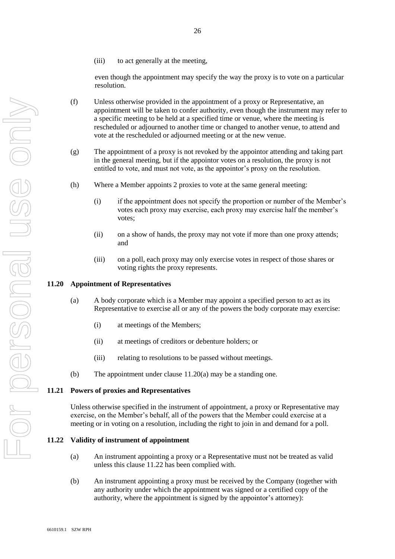(iii) to act generally at the meeting,

even though the appointment may specify the way the proxy is to vote on a particular resolution.

- (f) Unless otherwise provided in the appointment of a proxy or Representative, an appointment will be taken to confer authority, even though the instrument may refer to a specific meeting to be held at a specified time or venue, where the meeting is rescheduled or adjourned to another time or changed to another venue, to attend and vote at the rescheduled or adjourned meeting or at the new venue.
- (g) The appointment of a proxy is not revoked by the appointor attending and taking part in the general meeting, but if the appointor votes on a resolution, the proxy is not entitled to vote, and must not vote, as the appointor's proxy on the resolution.
- (h) Where a Member appoints 2 proxies to vote at the same general meeting:
	- (i) if the appointment does not specify the proportion or number of the Member's votes each proxy may exercise, each proxy may exercise half the member's votes;
	- (ii) on a show of hands, the proxy may not vote if more than one proxy attends; and
	- (iii) on a poll, each proxy may only exercise votes in respect of those shares or voting rights the proxy represents.

#### **11.20 Appointment of Representatives**

- (a) A body corporate which is a Member may appoint a specified person to act as its Representative to exercise all or any of the powers the body corporate may exercise:
	- (i) at meetings of the Members;
	- (ii) at meetings of creditors or debenture holders; or
	- (iii) relating to resolutions to be passed without meetings.
- (b) The appointment under clause 11.20(a) may be a standing one.

#### **11.21 Powers of proxies and Representatives**

Unless otherwise specified in the instrument of appointment, a proxy or Representative may exercise, on the Member's behalf, all of the powers that the Member could exercise at a meeting or in voting on a resolution, including the right to join in and demand for a poll.

#### <span id="page-25-0"></span>**11.22 Validity of instrument of appointment**

- (a) An instrument appointing a proxy or a Representative must not be treated as valid unless this clause 11.22 has been complied with.
- (b) An instrument appointing a proxy must be received by the Company (together with any authority under which the appointment was signed or a certified copy of the authority, where the appointment is signed by the appointor's attorney):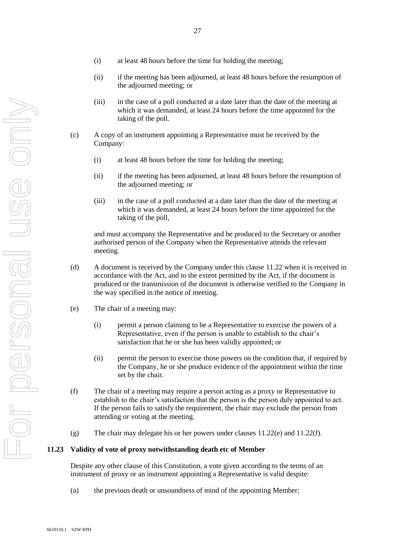- (i) at least 48 hours before the time for holding the meeting;
- (ii) if the meeting has been adjourned, at least 48 hours before the resumption of the adjourned meeting; or
- (iii) in the case of a poll conducted at a date later than the date of the meeting at which it was demanded, at least 24 hours before the time appointed for the taking of the poll.
- (c) A copy of an instrument appointing a Representative must be received by the Company:
	- (i) at least 48 hours before the time for holding the meeting;
	- (ii) if the meeting has been adjourned, at least 48 hours before the resumption of the adjourned meeting; or
	- (iii) in the case of a poll conducted at a date later than the date of the meeting at which it was demanded, at least 24 hours before the time appointed for the taking of the poll,

and must accompany the Representative and be produced to the Secretary or another authorised person of the Company when the Representative attends the relevant meeting.

- (d) A document is received by the Company under this clause [11.22](#page-25-0) when it is received in accordance with the Act, and to the extent permitted by the Act, if the document is produced or the transmission of the document is otherwise verified to the Company in the way specified in the notice of meeting.
- <span id="page-26-0"></span>(e) The chair of a meeting may:
	- (i) permit a person claiming to be a Representative to exercise the powers of a Representative, even if the person is unable to establish to the chair's satisfaction that he or she has been validly appointed; or
	- (ii) permit the person to exercise those powers on the condition that, if required by the Company, he or she produce evidence of the appointment within the time set by the chair.
- <span id="page-26-1"></span>(f) The chair of a meeting may require a person acting as a proxy or Representative to establish to the chair's satisfaction that the person is the person duly appointed to act. If the person fails to satisfy the requirement, the chair may exclude the person from attending or voting at the meeting.
- (g) The chair may delegate his or her powers under clauses [11.22\(e\)](#page-26-0) and [11.22\(f\).](#page-26-1)

#### **11.23 Validity of vote of proxy notwithstanding death etc of Member**

Despite any other clause of this Constitution, a vote given according to the terms of an instrument of proxy or an instrument appointing a Representative is valid despite:

(a) the previous death or unsoundness of mind of the appointing Member;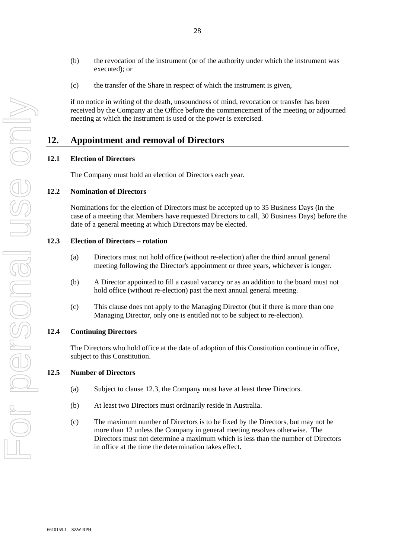- (b) the revocation of the instrument (or of the authority under which the instrument was executed); or
- (c) the transfer of the Share in respect of which the instrument is given,

if no notice in writing of the death, unsoundness of mind, revocation or transfer has been received by the Company at the Office before the commencement of the meeting or adjourned meeting at which the instrument is used or the power is exercised.

# **12. Appointment and removal of Directors**

#### **12.1 Election of Directors**

The Company must hold an election of Directors each year.

## **12.2 Nomination of Directors**

Nominations for the election of Directors must be accepted up to 35 Business Days (in the case of a meeting that Members have requested Directors to call, 30 Business Days) before the date of a general meeting at which Directors may be elected.

#### **12.3 Election of Directors – rotation**

- (a) Directors must not hold office (without re-election) after the third annual general meeting following the Director's appointment or three years, whichever is longer.
- (b) A Director appointed to fill a casual vacancy or as an addition to the board must not hold office (without re-election) past the next annual general meeting.
- (c) This clause does not apply to the Managing Director (but if there is more than one Managing Director, only one is entitled not to be subject to re-election).

#### **12.4 Continuing Directors**

The Directors who hold office at the date of adoption of this Constitution continue in office, subject to this Constitution.

#### **12.5 Number of Directors**

- (a) Subject to clause 12.3, the Company must have at least three Directors.
- (b) At least two Directors must ordinarily reside in Australia.
- (c) The maximum number of Directors is to be fixed by the Directors, but may not be more than 12 unless the Company in general meeting resolves otherwise. The Directors must not determine a maximum which is less than the number of Directors in office at the time the determination takes effect.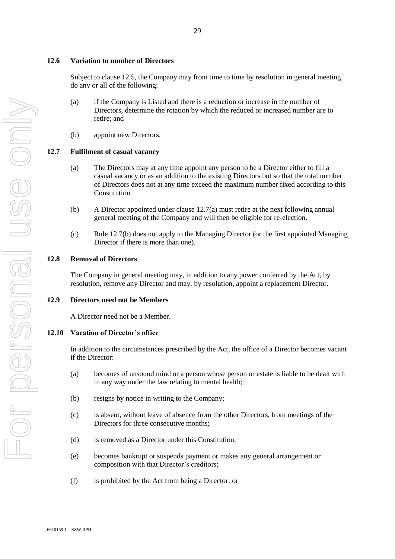# **12.6 Variation to number of Directors**

Subject to clause 12.5, the Company may from time to time by resolution in general meeting do any or all of the following:

- (a) if the Company is Listed and there is a reduction or increase in the number of Directors, determine the rotation by which the reduced or increased number are to retire; and
- (b) appoint new Directors.

# **12.7 Fulfilment of casual vacancy**

- (a) The Directors may at any time appoint any person to be a Director either to fill a casual vacancy or as an addition to the existing Directors but so that the total number of Directors does not at any time exceed the maximum number fixed according to this Constitution.
- (b) A Director appointed under clause 12.7(a) must retire at the next following annual general meeting of the Company and will then be eligible for re-election.
- (c) Rule 12.7(b) does not apply to the Managing Director (or the first appointed Managing Director if there is more than one).

# **12.8 Removal of Directors**

The Company in general meeting may, in addition to any power conferred by the Act, by resolution, remove any Director and may, by resolution, appoint a replacement Director.

# **12.9 Directors need not be Members**

A Director need not be a Member.

# **12.10 Vacation of Director's office**

In addition to the circumstances prescribed by the Act, the office of a Director becomes vacant if the Director:

- (a) becomes of unsound mind or a person whose person or estate is liable to be dealt with in any way under the law relating to mental health;
- (b) resigns by notice in writing to the Company;
- (c) is absent, without leave of absence from the other Directors, from meetings of the Directors for three consecutive months;
- (d) is removed as a Director under this Constitution;
- (e) becomes bankrupt or suspends payment or makes any general arrangement or composition with that Director's creditors;
- (f) is prohibited by the Act from being a Director; or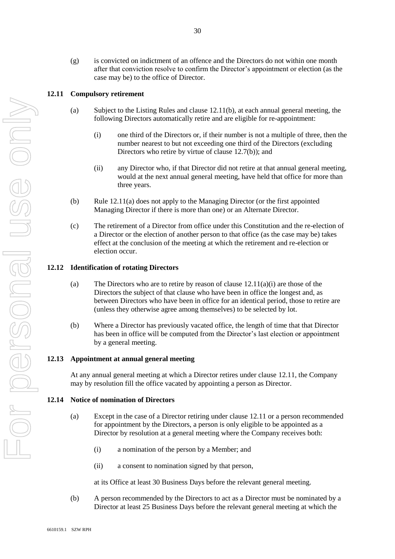(g) is convicted on indictment of an offence and the Directors do not within one month after that conviction resolve to confirm the Director's appointment or election (as the case may be) to the office of Director.

## **12.11 Compulsory retirement**

- (a) Subject to the Listing Rules and clause 12.11(b), at each annual general meeting, the following Directors automatically retire and are eligible for re-appointment:
	- (i) one third of the Directors or, if their number is not a multiple of three, then the number nearest to but not exceeding one third of the Directors (excluding Directors who retire by virtue of clause 12.7(b)); and
	- (ii) any Director who, if that Director did not retire at that annual general meeting, would at the next annual general meeting, have held that office for more than three years.
- (b) Rule 12.11(a) does not apply to the Managing Director (or the first appointed Managing Director if there is more than one) or an Alternate Director.
- (c) The retirement of a Director from office under this Constitution and the re-election of a Director or the election of another person to that office (as the case may be) takes effect at the conclusion of the meeting at which the retirement and re-election or election occur.

#### **12.12 Identification of rotating Directors**

- (a) The Directors who are to retire by reason of clause  $12.11(a)(i)$  are those of the Directors the subject of that clause who have been in office the longest and, as between Directors who have been in office for an identical period, those to retire are (unless they otherwise agree among themselves) to be selected by lot.
- (b) Where a Director has previously vacated office, the length of time that that Director has been in office will be computed from the Director's last election or appointment by a general meeting.

#### **12.13 Appointment at annual general meeting**

At any annual general meeting at which a Director retires under clause 12.11, the Company may by resolution fill the office vacated by appointing a person as Director.

## **12.14 Notice of nomination of Directors**

- (a) Except in the case of a Director retiring under clause 12.11 or a person recommended for appointment by the Directors, a person is only eligible to be appointed as a Director by resolution at a general meeting where the Company receives both:
	- (i) a nomination of the person by a Member; and
	- (ii) a consent to nomination signed by that person,

at its Office at least 30 Business Days before the relevant general meeting.

(b) A person recommended by the Directors to act as a Director must be nominated by a Director at least 25 Business Days before the relevant general meeting at which the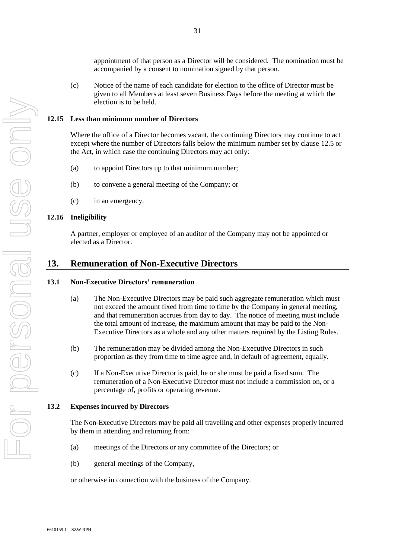appointment of that person as a Director will be considered. The nomination must be accompanied by a consent to nomination signed by that person.

(c) Notice of the name of each candidate for election to the office of Director must be given to all Members at least seven Business Days before the meeting at which the election is to be held.

#### **12.15 Less than minimum number of Directors**

Where the office of a Director becomes vacant, the continuing Directors may continue to act except where the number of Directors falls below the minimum number set by clause 12.5 or the Act, in which case the continuing Directors may act only:

- (a) to appoint Directors up to that minimum number;
- (b) to convene a general meeting of the Company; or
- (c) in an emergency.

#### **12.16 Ineligibility**

A partner, employer or employee of an auditor of the Company may not be appointed or elected as a Director.

# **13. Remuneration of Non-Executive Directors**

#### **13.1 Non-Executive Directors' remuneration**

- (a) The Non-Executive Directors may be paid such aggregate remuneration which must not exceed the amount fixed from time to time by the Company in general meeting, and that remuneration accrues from day to day. The notice of meeting must include the total amount of increase, the maximum amount that may be paid to the Non-Executive Directors as a whole and any other matters required by the Listing Rules.
- (b) The remuneration may be divided among the Non-Executive Directors in such proportion as they from time to time agree and, in default of agreement, equally.
- (c) If a Non-Executive Director is paid, he or she must be paid a fixed sum. The remuneration of a Non-Executive Director must not include a commission on, or a percentage of, profits or operating revenue.

#### **13.2 Expenses incurred by Directors**

The Non-Executive Directors may be paid all travelling and other expenses properly incurred by them in attending and returning from:

- (a) meetings of the Directors or any committee of the Directors; or
- (b) general meetings of the Company,

or otherwise in connection with the business of the Company.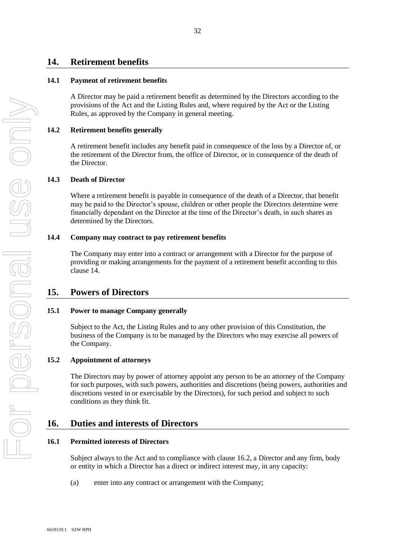# **14. Retirement benefits**

## **14.1 Payment of retirement benefits**

A Director may be paid a retirement benefit as determined by the Directors according to the provisions of the Act and the Listing Rules and, where required by the Act or the Listing Rules, as approved by the Company in general meeting.

## **14.2 Retirement benefits generally**

A retirement benefit includes any benefit paid in consequence of the loss by a Director of, or the retirement of the Director from, the office of Director, or in consequence of the death of the Director.

## **14.3 Death of Director**

Where a retirement benefit is payable in consequence of the death of a Director, that benefit may be paid to the Director's spouse, children or other people the Directors determine were financially dependant on the Director at the time of the Director's death, in such shares as determined by the Directors.

## **14.4 Company may contract to pay retirement benefits**

The Company may enter into a contract or arrangement with a Director for the purpose of providing or making arrangements for the payment of a retirement benefit according to this clause 14.

# **15. Powers of Directors**

## **15.1 Power to manage Company generally**

Subject to the Act, the Listing Rules and to any other provision of this Constitution, the business of the Company is to be managed by the Directors who may exercise all powers of the Company.

## **15.2 Appointment of attorneys**

The Directors may by power of attorney appoint any person to be an attorney of the Company for such purposes, with such powers, authorities and discretions (being powers, authorities and discretions vested in or exercisable by the Directors), for such period and subject to such conditions as they think fit.

# **16. Duties and interests of Directors**

## **16.1 Permitted interests of Directors**

Subject always to the Act and to compliance with clause 16.2, a Director and any firm, body or entity in which a Director has a direct or indirect interest may, in any capacity:

(a) enter into any contract or arrangement with the Company;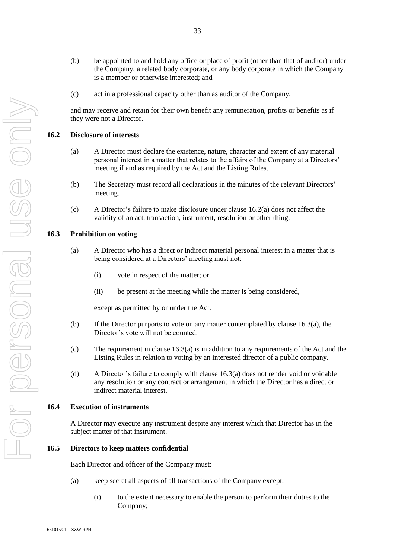- (b) be appointed to and hold any office or place of profit (other than that of auditor) under the Company, a related body corporate, or any body corporate in which the Company is a member or otherwise interested; and
- (c) act in a professional capacity other than as auditor of the Company,

and may receive and retain for their own benefit any remuneration, profits or benefits as if they were not a Director.

#### **16.2 Disclosure of interests**

- (a) A Director must declare the existence, nature, character and extent of any material personal interest in a matter that relates to the affairs of the Company at a Directors' meeting if and as required by the Act and the Listing Rules.
- (b) The Secretary must record all declarations in the minutes of the relevant Directors' meeting.
- (c) A Director's failure to make disclosure under clause 16.2(a) does not affect the validity of an act, transaction, instrument, resolution or other thing.

#### **16.3 Prohibition on voting**

- (a) A Director who has a direct or indirect material personal interest in a matter that is being considered at a Directors' meeting must not:
	- (i) vote in respect of the matter; or
	- (ii) be present at the meeting while the matter is being considered,

except as permitted by or under the Act.

- (b) If the Director purports to vote on any matter contemplated by clause 16.3(a), the Director's vote will not be counted.
- (c) The requirement in clause 16.3(a) is in addition to any requirements of the Act and the Listing Rules in relation to voting by an interested director of a public company.
- (d) A Director's failure to comply with clause 16.3(a) does not render void or voidable any resolution or any contract or arrangement in which the Director has a direct or indirect material interest.

#### **16.4 Execution of instruments**

A Director may execute any instrument despite any interest which that Director has in the subject matter of that instrument.

#### **16.5 Directors to keep matters confidential**

Each Director and officer of the Company must:

- (a) keep secret all aspects of all transactions of the Company except:
	- (i) to the extent necessary to enable the person to perform their duties to the Company;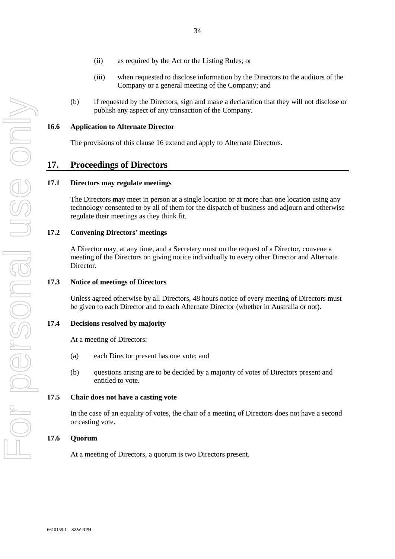- (ii) as required by the Act or the Listing Rules; or
- (iii) when requested to disclose information by the Directors to the auditors of the Company or a general meeting of the Company; and
- (b) if requested by the Directors, sign and make a declaration that they will not disclose or publish any aspect of any transaction of the Company.

#### **16.6 Application to Alternate Director**

The provisions of this clause 16 extend and apply to Alternate Directors.

## **17. Proceedings of Directors**

#### **17.1 Directors may regulate meetings**

The Directors may meet in person at a single location or at more than one location using any technology consented to by all of them for the dispatch of business and adjourn and otherwise regulate their meetings as they think fit.

#### **17.2 Convening Directors' meetings**

A Director may, at any time, and a Secretary must on the request of a Director, convene a meeting of the Directors on giving notice individually to every other Director and Alternate Director.

#### **17.3 Notice of meetings of Directors**

Unless agreed otherwise by all Directors, 48 hours notice of every meeting of Directors must be given to each Director and to each Alternate Director (whether in Australia or not).

#### **17.4 Decisions resolved by majority**

At a meeting of Directors:

- (a) each Director present has one vote; and
- (b) questions arising are to be decided by a majority of votes of Directors present and entitled to vote.

#### **17.5 Chair does not have a casting vote**

In the case of an equality of votes, the chair of a meeting of Directors does not have a second or casting vote.

#### **17.6 Quorum**

At a meeting of Directors, a quorum is two Directors present.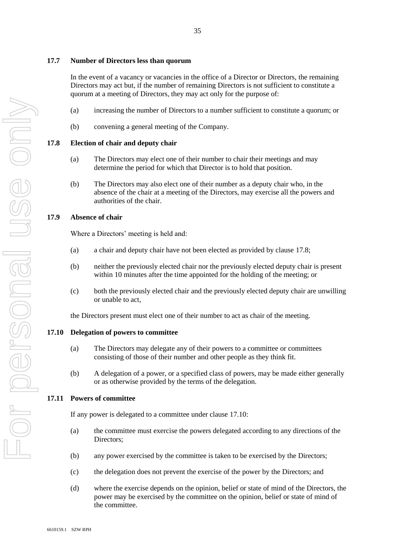## **17.7 Number of Directors less than quorum**

In the event of a vacancy or vacancies in the office of a Director or Directors, the remaining Directors may act but, if the number of remaining Directors is not sufficient to constitute a quorum at a meeting of Directors, they may act only for the purpose of:

- (a) increasing the number of Directors to a number sufficient to constitute a quorum; or
- (b) convening a general meeting of the Company.

## **17.8 Election of chair and deputy chair**

- (a) The Directors may elect one of their number to chair their meetings and may determine the period for which that Director is to hold that position.
- (b) The Directors may also elect one of their number as a deputy chair who, in the absence of the chair at a meeting of the Directors, may exercise all the powers and authorities of the chair.

## **17.9 Absence of chair**

Where a Directors' meeting is held and:

- (a) a chair and deputy chair have not been elected as provided by clause 17.8;
- (b) neither the previously elected chair nor the previously elected deputy chair is present within 10 minutes after the time appointed for the holding of the meeting; or
- (c) both the previously elected chair and the previously elected deputy chair are unwilling or unable to act,

the Directors present must elect one of their number to act as chair of the meeting.

#### **17.10 Delegation of powers to committee**

- (a) The Directors may delegate any of their powers to a committee or committees consisting of those of their number and other people as they think fit.
- (b) A delegation of a power, or a specified class of powers, may be made either generally or as otherwise provided by the terms of the delegation.

#### **17.11 Powers of committee**

If any power is delegated to a committee under clause 17.10:

- (a) the committee must exercise the powers delegated according to any directions of the Directors;
- (b) any power exercised by the committee is taken to be exercised by the Directors;
- (c) the delegation does not prevent the exercise of the power by the Directors; and
- (d) where the exercise depends on the opinion, belief or state of mind of the Directors, the power may be exercised by the committee on the opinion, belief or state of mind of the committee.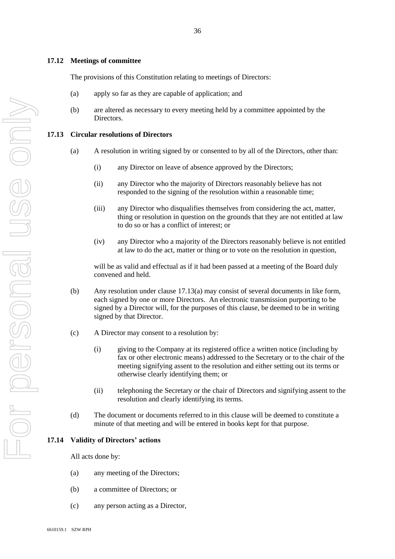#### **17.12 Meetings of committee**

The provisions of this Constitution relating to meetings of Directors:

- (a) apply so far as they are capable of application; and
- (b) are altered as necessary to every meeting held by a committee appointed by the Directors.

#### **17.13 Circular resolutions of Directors**

- (a) A resolution in writing signed by or consented to by all of the Directors, other than:
	- (i) any Director on leave of absence approved by the Directors;
	- (ii) any Director who the majority of Directors reasonably believe has not responded to the signing of the resolution within a reasonable time;
	- (iii) any Director who disqualifies themselves from considering the act, matter, thing or resolution in question on the grounds that they are not entitled at law to do so or has a conflict of interest; or
	- (iv) any Director who a majority of the Directors reasonably believe is not entitled at law to do the act, matter or thing or to vote on the resolution in question,

will be as valid and effectual as if it had been passed at a meeting of the Board duly convened and held.

- (b) Any resolution under clause 17.13(a) may consist of several documents in like form, each signed by one or more Directors. An electronic transmission purporting to be signed by a Director will, for the purposes of this clause, be deemed to be in writing signed by that Director.
- (c) A Director may consent to a resolution by:
	- (i) giving to the Company at its registered office a written notice (including by fax or other electronic means) addressed to the Secretary or to the chair of the meeting signifying assent to the resolution and either setting out its terms or otherwise clearly identifying them; or
	- (ii) telephoning the Secretary or the chair of Directors and signifying assent to the resolution and clearly identifying its terms.
- (d) The document or documents referred to in this clause will be deemed to constitute a minute of that meeting and will be entered in books kept for that purpose.

## <span id="page-35-0"></span>**17.14 Validity of Directors' actions**

All acts done by:

- (a) any meeting of the Directors;
- (b) a committee of Directors; or
- (c) any person acting as a Director,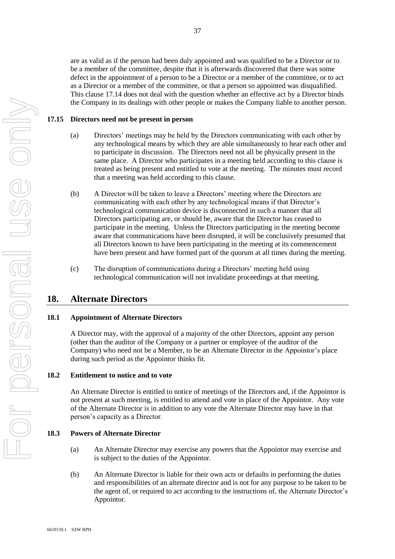are as valid as if the person had been duly appointed and was qualified to be a Director or to be a member of the committee, despite that it is afterwards discovered that there was some defect in the appointment of a person to be a Director or a member of the committee, or to act as a Director or a member of the committee, or that a person so appointed was disqualified. This clause [17.14](#page-35-0) does not deal with the question whether an effective act by a Director binds the Company in its dealings with other people or makes the Company liable to another person.

## **17.15 Directors need not be present in person**

- (a) Directors' meetings may be held by the Directors communicating with each other by any technological means by which they are able simultaneously to hear each other and to participate in discussion. The Directors need not all be physically present in the same place. A Director who participates in a meeting held according to this clause is treated as being present and entitled to vote at the meeting. The minutes must record that a meeting was held according to this clause.
- (b) A Director will be taken to leave a Directors' meeting where the Directors are communicating with each other by any technological means if that Director's technological communication device is disconnected in such a manner that all Directors participating are, or should be, aware that the Director has ceased to participate in the meeting. Unless the Directors participating in the meeting become aware that communications have been disrupted, it will be conclusively presumed that all Directors known to have been participating in the meeting at its commencement have been present and have formed part of the quorum at all times during the meeting.
- (c) The disruption of communications during a Directors' meeting held using technological communication will not invalidate proceedings at that meeting.

# **18. Alternate Directors**

## **18.1 Appointment of Alternate Directors**

A Director may, with the approval of a majority of the other Directors, appoint any person (other than the auditor of the Company or a partner or employee of the auditor of the Company) who need not be a Member, to be an Alternate Director in the Appointor's place during such period as the Appointor thinks fit.

#### **18.2 Entitlement to notice and to vote**

An Alternate Director is entitled to notice of meetings of the Directors and, if the Appointor is not present at such meeting, is entitled to attend and vote in place of the Appointor. Any vote of the Alternate Director is in addition to any vote the Alternate Director may have in that person's capacity as a Director.

#### **18.3 Powers of Alternate Director**

- (a) An Alternate Director may exercise any powers that the Appointor may exercise and is subject to the duties of the Appointor.
- (b) An Alternate Director is liable for their own acts or defaults in performing the duties and responsibilities of an alternate director and is not for any purpose to be taken to be the agent of, or required to act according to the instructions of, the Alternate Director's Appointor.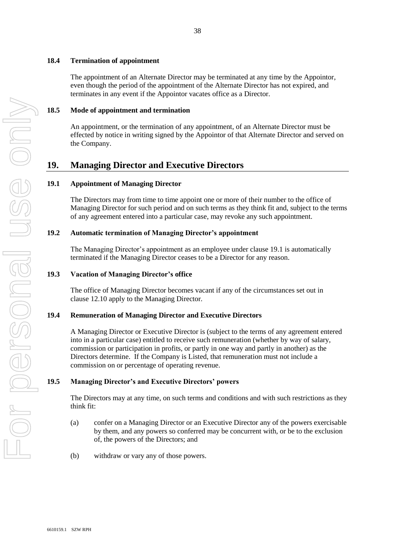# **18.4 Termination of appointment**

The appointment of an Alternate Director may be terminated at any time by the Appointor, even though the period of the appointment of the Alternate Director has not expired, and terminates in any event if the Appointor vacates office as a Director.

# **18.5 Mode of appointment and termination**

An appointment, or the termination of any appointment, of an Alternate Director must be effected by notice in writing signed by the Appointor of that Alternate Director and served on the Company.

# **19. Managing Director and Executive Directors**

# **19.1 Appointment of Managing Director**

The Directors may from time to time appoint one or more of their number to the office of Managing Director for such period and on such terms as they think fit and, subject to the terms of any agreement entered into a particular case, may revoke any such appointment.

# **19.2 Automatic termination of Managing Director's appointment**

The Managing Director's appointment as an employee under clause 19.1 is automatically terminated if the Managing Director ceases to be a Director for any reason.

# **19.3 Vacation of Managing Director's office**

The office of Managing Director becomes vacant if any of the circumstances set out in clause 12.10 apply to the Managing Director.

# **19.4 Remuneration of Managing Director and Executive Directors**

A Managing Director or Executive Director is (subject to the terms of any agreement entered into in a particular case) entitled to receive such remuneration (whether by way of salary, commission or participation in profits, or partly in one way and partly in another) as the Directors determine. If the Company is Listed, that remuneration must not include a commission on or percentage of operating revenue.

# **19.5 Managing Director's and Executive Directors' powers**

The Directors may at any time, on such terms and conditions and with such restrictions as they think fit:

- (a) confer on a Managing Director or an Executive Director any of the powers exercisable by them, and any powers so conferred may be concurrent with, or be to the exclusion of, the powers of the Directors; and
- (b) withdraw or vary any of those powers.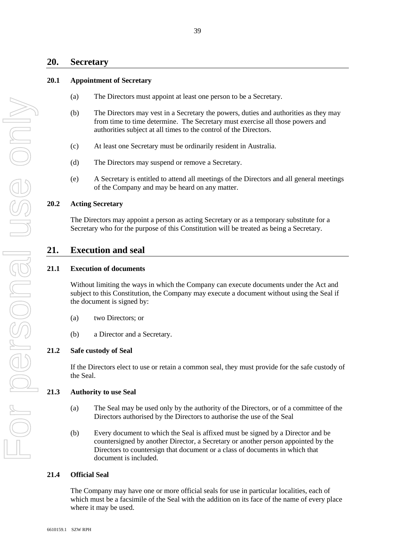## **20. Secretary**

## **20.1 Appointment of Secretary**

- (a) The Directors must appoint at least one person to be a Secretary.
- (b) The Directors may vest in a Secretary the powers, duties and authorities as they may from time to time determine. The Secretary must exercise all those powers and authorities subject at all times to the control of the Directors.
- (c) At least one Secretary must be ordinarily resident in Australia.
- (d) The Directors may suspend or remove a Secretary.
- (e) A Secretary is entitled to attend all meetings of the Directors and all general meetings of the Company and may be heard on any matter.

#### **20.2 Acting Secretary**

The Directors may appoint a person as acting Secretary or as a temporary substitute for a Secretary who for the purpose of this Constitution will be treated as being a Secretary.

# **21. Execution and seal**

## **21.1 Execution of documents**

Without limiting the ways in which the Company can execute documents under the Act and subject to this Constitution, the Company may execute a document without using the Seal if the document is signed by:

- (a) two Directors; or
- (b) a Director and a Secretary.

#### **21.2 Safe custody of Seal**

If the Directors elect to use or retain a common seal, they must provide for the safe custody of the Seal.

## **21.3 Authority to use Seal**

- (a) The Seal may be used only by the authority of the Directors, or of a committee of the Directors authorised by the Directors to authorise the use of the Seal
- (b) Every document to which the Seal is affixed must be signed by a Director and be countersigned by another Director, a Secretary or another person appointed by the Directors to countersign that document or a class of documents in which that document is included.

## **21.4 Official Seal**

The Company may have one or more official seals for use in particular localities, each of which must be a facsimile of the Seal with the addition on its face of the name of every place where it may be used.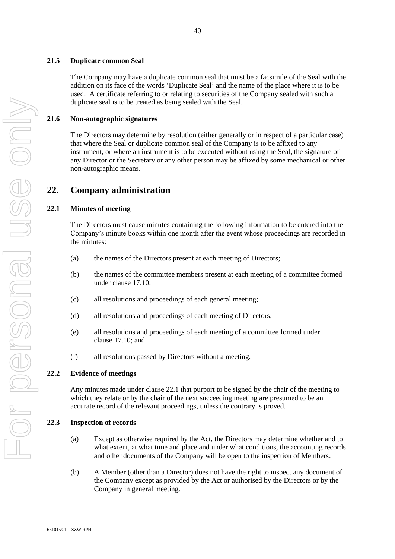#### **21.5 Duplicate common Seal**

The Company may have a duplicate common seal that must be a facsimile of the Seal with the addition on its face of the words 'Duplicate Seal' and the name of the place where it is to be used. A certificate referring to or relating to securities of the Company sealed with such a duplicate seal is to be treated as being sealed with the Seal.

## **21.6 Non-autographic signatures**

The Directors may determine by resolution (either generally or in respect of a particular case) that where the Seal or duplicate common seal of the Company is to be affixed to any instrument, or where an instrument is to be executed without using the Seal, the signature of any Director or the Secretary or any other person may be affixed by some mechanical or other non-autographic means.

# **22. Company administration**

#### **22.1 Minutes of meeting**

The Directors must cause minutes containing the following information to be entered into the Company's minute books within one month after the event whose proceedings are recorded in the minutes:

- (a) the names of the Directors present at each meeting of Directors;
- (b) the names of the committee members present at each meeting of a committee formed under clause 17.10;
- (c) all resolutions and proceedings of each general meeting;
- (d) all resolutions and proceedings of each meeting of Directors;
- (e) all resolutions and proceedings of each meeting of a committee formed under clause 17.10; and
- (f) all resolutions passed by Directors without a meeting.

## **22.2 Evidence of meetings**

Any minutes made under clause 22.1 that purport to be signed by the chair of the meeting to which they relate or by the chair of the next succeeding meeting are presumed to be an accurate record of the relevant proceedings, unless the contrary is proved.

#### **22.3 Inspection of records**

- (a) Except as otherwise required by the Act, the Directors may determine whether and to what extent, at what time and place and under what conditions, the accounting records and other documents of the Company will be open to the inspection of Members.
- (b) A Member (other than a Director) does not have the right to inspect any document of the Company except as provided by the Act or authorised by the Directors or by the Company in general meeting.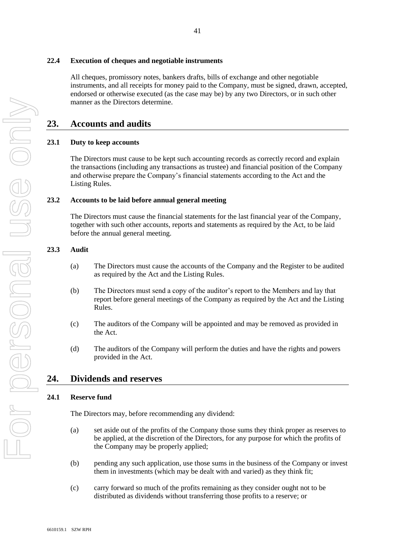## **22.4 Execution of cheques and negotiable instruments**

All cheques, promissory notes, bankers drafts, bills of exchange and other negotiable instruments, and all receipts for money paid to the Company, must be signed, drawn, accepted, endorsed or otherwise executed (as the case may be) by any two Directors, or in such other manner as the Directors determine.

# **23. Accounts and audits**

## **23.1 Duty to keep accounts**

The Directors must cause to be kept such accounting records as correctly record and explain the transactions (including any transactions as trustee) and financial position of the Company and otherwise prepare the Company's financial statements according to the Act and the Listing Rules.

## **23.2 Accounts to be laid before annual general meeting**

The Directors must cause the financial statements for the last financial year of the Company, together with such other accounts, reports and statements as required by the Act, to be laid before the annual general meeting.

## **23.3 Audit**

- (a) The Directors must cause the accounts of the Company and the Register to be audited as required by the Act and the Listing Rules.
- (b) The Directors must send a copy of the auditor's report to the Members and lay that report before general meetings of the Company as required by the Act and the Listing Rules.
- (c) The auditors of the Company will be appointed and may be removed as provided in the Act.
- (d) The auditors of the Company will perform the duties and have the rights and powers provided in the Act.

# **24. Dividends and reserves**

## **24.1 Reserve fund**

The Directors may, before recommending any dividend:

- (a) set aside out of the profits of the Company those sums they think proper as reserves to be applied, at the discretion of the Directors, for any purpose for which the profits of the Company may be properly applied;
- (b) pending any such application, use those sums in the business of the Company or invest them in investments (which may be dealt with and varied) as they think fit;
- (c) carry forward so much of the profits remaining as they consider ought not to be distributed as dividends without transferring those profits to a reserve; or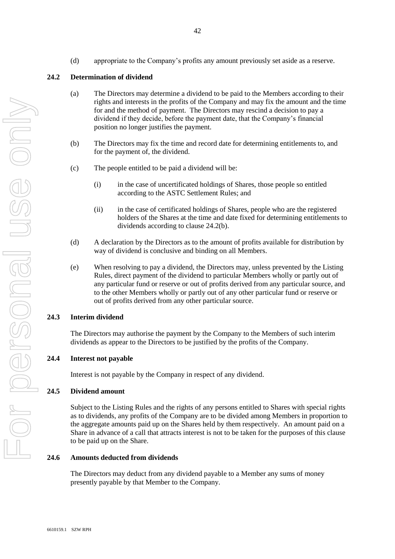(d) appropriate to the Company's profits any amount previously set aside as a reserve.

42

## **24.2 Determination of dividend**

- (a) The Directors may determine a dividend to be paid to the Members according to their rights and interests in the profits of the Company and may fix the amount and the time for and the method of payment. The Directors may rescind a decision to pay a dividend if they decide, before the payment date, that the Company's financial position no longer justifies the payment.
- (b) The Directors may fix the time and record date for determining entitlements to, and for the payment of, the dividend.
- (c) The people entitled to be paid a dividend will be:
	- (i) in the case of uncertificated holdings of Shares, those people so entitled according to the ASTC Settlement Rules; and
	- (ii) in the case of certificated holdings of Shares, people who are the registered holders of the Shares at the time and date fixed for determining entitlements to dividends according to clause 24.2(b).
- (d) A declaration by the Directors as to the amount of profits available for distribution by way of dividend is conclusive and binding on all Members.
- (e) When resolving to pay a dividend, the Directors may, unless prevented by the Listing Rules, direct payment of the dividend to particular Members wholly or partly out of any particular fund or reserve or out of profits derived from any particular source, and to the other Members wholly or partly out of any other particular fund or reserve or out of profits derived from any other particular source.

## **24.3 Interim dividend**

The Directors may authorise the payment by the Company to the Members of such interim dividends as appear to the Directors to be justified by the profits of the Company.

## **24.4 Interest not payable**

Interest is not payable by the Company in respect of any dividend.

## **24.5 Dividend amount**

Subject to the Listing Rules and the rights of any persons entitled to Shares with special rights as to dividends, any profits of the Company are to be divided among Members in proportion to the aggregate amounts paid up on the Shares held by them respectively. An amount paid on a Share in advance of a call that attracts interest is not to be taken for the purposes of this clause to be paid up on the Share.

#### **24.6 Amounts deducted from dividends**

The Directors may deduct from any dividend payable to a Member any sums of money presently payable by that Member to the Company.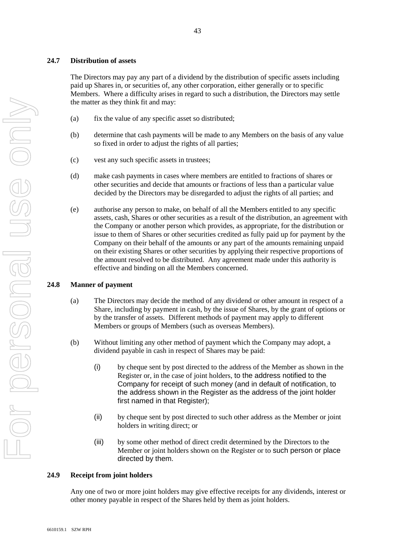## **24.7 Distribution of assets**

The Directors may pay any part of a dividend by the distribution of specific assets including paid up Shares in, or securities of, any other corporation, either generally or to specific Members. Where a difficulty arises in regard to such a distribution, the Directors may settle the matter as they think fit and may:

43

- (a) fix the value of any specific asset so distributed;
- (b) determine that cash payments will be made to any Members on the basis of any value so fixed in order to adjust the rights of all parties;
- (c) vest any such specific assets in trustees;
- (d) make cash payments in cases where members are entitled to fractions of shares or other securities and decide that amounts or fractions of less than a particular value decided by the Directors may be disregarded to adjust the rights of all parties; and
- (e) authorise any person to make, on behalf of all the Members entitled to any specific assets, cash, Shares or other securities as a result of the distribution, an agreement with the Company or another person which provides, as appropriate, for the distribution or issue to them of Shares or other securities credited as fully paid up for payment by the Company on their behalf of the amounts or any part of the amounts remaining unpaid on their existing Shares or other securities by applying their respective proportions of the amount resolved to be distributed. Any agreement made under this authority is effective and binding on all the Members concerned.

## **24.8 Manner of payment**

- (a) The Directors may decide the method of any dividend or other amount in respect of a Share, including by payment in cash, by the issue of Shares, by the grant of options or by the transfer of assets. Different methods of payment may apply to different Members or groups of Members (such as overseas Members).
- <span id="page-42-0"></span>(b) Without limiting any other method of payment which the Company may adopt, a dividend payable in cash in respect of Shares may be paid:
	- (i) by cheque sent by post directed to the address of the Member as shown in the Register or, in the case of joint holders, to the address notified to the Company for receipt of such money (and in default of notification, to the address shown in the Register as the address of the joint holder first named in that Register);
	- (ii) by cheque sent by post directed to such other address as the Member or joint holders in writing direct; or
	- (iii) by some other method of direct credit determined by the Directors to the Member or joint holders shown on the Register or to such person or place directed by them.

#### **24.9 Receipt from joint holders**

Any one of two or more joint holders may give effective receipts for any dividends, interest or other money payable in respect of the Shares held by them as joint holders.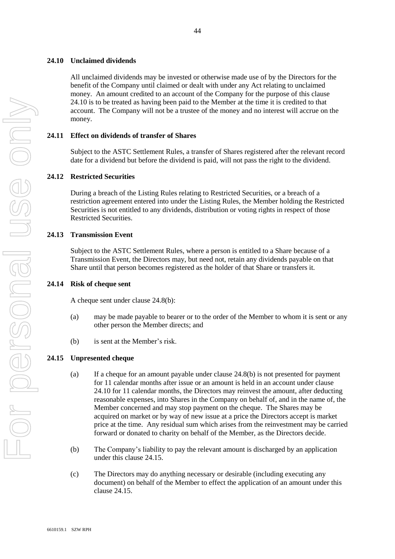## <span id="page-43-0"></span>**24.10 Unclaimed dividends**

All unclaimed dividends may be invested or otherwise made use of by the Directors for the benefit of the Company until claimed or dealt with under any Act relating to unclaimed money. An amount credited to an account of the Company for the purpose of this clause [24.10](#page-43-0) is to be treated as having been paid to the Member at the time it is credited to that account. The Company will not be a trustee of the money and no interest will accrue on the money.

## **24.11 Effect on dividends of transfer of Shares**

Subject to the ASTC Settlement Rules, a transfer of Shares registered after the relevant record date for a dividend but before the dividend is paid, will not pass the right to the dividend.

#### **24.12 Restricted Securities**

During a breach of the Listing Rules relating to Restricted Securities, or a breach of a restriction agreement entered into under the Listing Rules, the Member holding the Restricted Securities is not entitled to any dividends, distribution or voting rights in respect of those Restricted Securities.

#### **24.13 Transmission Event**

Subject to the ASTC Settlement Rules, where a person is entitled to a Share because of a Transmission Event, the Directors may, but need not, retain any dividends payable on that Share until that person becomes registered as the holder of that Share or transfers it.

#### **24.14 Risk of cheque sent**

A cheque sent under clause [24.8\(b\):](#page-42-0)

- (a) may be made payable to bearer or to the order of the Member to whom it is sent or any other person the Member directs; and
- (b) is sent at the Member's risk.

#### <span id="page-43-1"></span>**24.15 Unpresented cheque**

- (a) If a cheque for an amount payable under clause [24.8\(b\)](#page-42-0) is not presented for payment for 11 calendar months after issue or an amount is held in an account under clause [24.10](#page-43-0) for 11 calendar months, the Directors may reinvest the amount, after deducting reasonable expenses, into Shares in the Company on behalf of, and in the name of, the Member concerned and may stop payment on the cheque. The Shares may be acquired on market or by way of new issue at a price the Directors accept is market price at the time. Any residual sum which arises from the reinvestment may be carried forward or donated to charity on behalf of the Member, as the Directors decide.
- (b) The Company's liability to pay the relevant amount is discharged by an application under this clause [24.15.](#page-43-1)
- (c) The Directors may do anything necessary or desirable (including executing any document) on behalf of the Member to effect the application of an amount under this clause [24.15.](#page-43-1)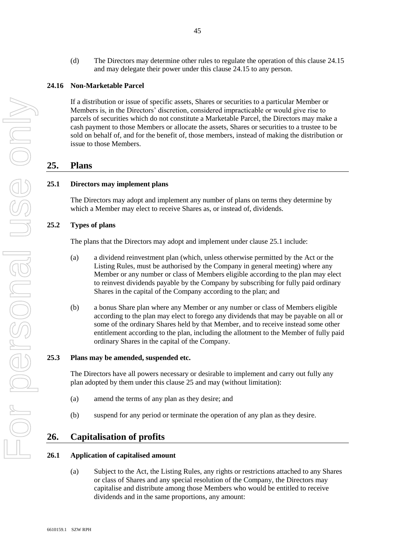(d) The Directors may determine other rules to regulate the operation of this clause [24.15](#page-43-1) and may delegate their power under this clause [24.15](#page-43-1) to any person.

## **24.16 Non-Marketable Parcel**

If a distribution or issue of specific assets, Shares or securities to a particular Member or Members is, in the Directors' discretion, considered impracticable or would give rise to parcels of securities which do not constitute a Marketable Parcel, the Directors may make a cash payment to those Members or allocate the assets, Shares or securities to a trustee to be sold on behalf of, and for the benefit of, those members, instead of making the distribution or issue to those Members.

## **25. Plans**

#### **25.1 Directors may implement plans**

The Directors may adopt and implement any number of plans on terms they determine by which a Member may elect to receive Shares as, or instead of, dividends.

## **25.2 Types of plans**

The plans that the Directors may adopt and implement under clause 25.1 include:

- (a) a dividend reinvestment plan (which, unless otherwise permitted by the Act or the Listing Rules, must be authorised by the Company in general meeting) where any Member or any number or class of Members eligible according to the plan may elect to reinvest dividends payable by the Company by subscribing for fully paid ordinary Shares in the capital of the Company according to the plan; and
- (b) a bonus Share plan where any Member or any number or class of Members eligible according to the plan may elect to forego any dividends that may be payable on all or some of the ordinary Shares held by that Member, and to receive instead some other entitlement according to the plan, including the allotment to the Member of fully paid ordinary Shares in the capital of the Company.

#### **25.3 Plans may be amended, suspended etc.**

The Directors have all powers necessary or desirable to implement and carry out fully any plan adopted by them under this clause 25 and may (without limitation):

- (a) amend the terms of any plan as they desire; and
- (b) suspend for any period or terminate the operation of any plan as they desire.

## <span id="page-44-0"></span>**26. Capitalisation of profits**

## **26.1 Application of capitalised amount**

(a) Subject to the Act, the Listing Rules, any rights or restrictions attached to any Shares or class of Shares and any special resolution of the Company, the Directors may capitalise and distribute among those Members who would be entitled to receive dividends and in the same proportions, any amount: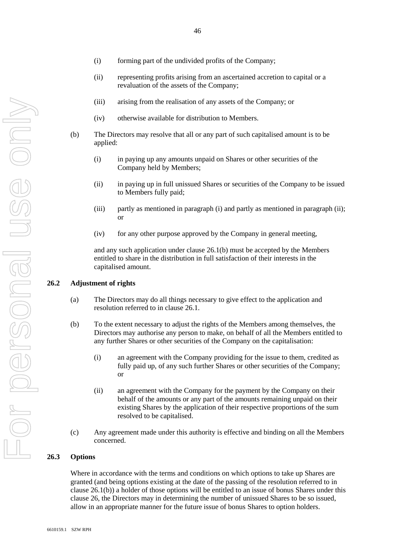- (ii) representing profits arising from an ascertained accretion to capital or a revaluation of the assets of the Company;
- (iii) arising from the realisation of any assets of the Company; or
- (iv) otherwise available for distribution to Members.
- <span id="page-45-0"></span>(b) The Directors may resolve that all or any part of such capitalised amount is to be applied:
	- (i) in paying up any amounts unpaid on Shares or other securities of the Company held by Members;
	- (ii) in paying up in full unissued Shares or securities of the Company to be issued to Members fully paid;
	- (iii) partly as mentioned in paragraph (i) and partly as mentioned in paragraph (ii); or
	- (iv) for any other purpose approved by the Company in general meeting,

and any such application under clause [26.1\(b\)](#page-45-0) must be accepted by the Members entitled to share in the distribution in full satisfaction of their interests in the capitalised amount.

#### **26.2 Adjustment of rights**

- (a) The Directors may do all things necessary to give effect to the application and resolution referred to in clause 26.1.
- (b) To the extent necessary to adjust the rights of the Members among themselves, the Directors may authorise any person to make, on behalf of all the Members entitled to any further Shares or other securities of the Company on the capitalisation:
	- (i) an agreement with the Company providing for the issue to them, credited as fully paid up, of any such further Shares or other securities of the Company; or
	- (ii) an agreement with the Company for the payment by the Company on their behalf of the amounts or any part of the amounts remaining unpaid on their existing Shares by the application of their respective proportions of the sum resolved to be capitalised.
- (c) Any agreement made under this authority is effective and binding on all the Members concerned.

#### **26.3 Options**

Where in accordance with the terms and conditions on which options to take up Shares are granted (and being options existing at the date of the passing of the resolution referred to in clause [26.1\(b\)\)](#page-45-0) a holder of those options will be entitled to an issue of bonus Shares under this clause [26,](#page-44-0) the Directors may in determining the number of unissued Shares to be so issued, allow in an appropriate manner for the future issue of bonus Shares to option holders.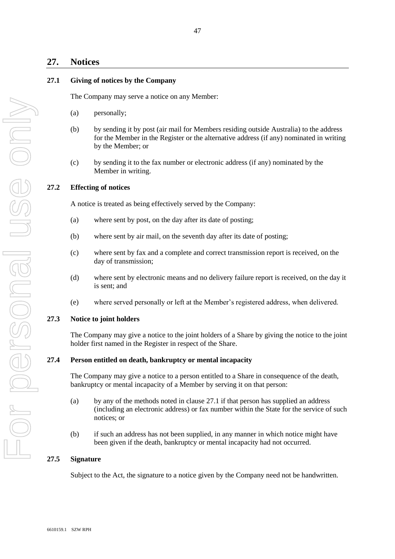# **27. Notices**

## **27.1 Giving of notices by the Company**

The Company may serve a notice on any Member:

- (a) personally;
- (b) by sending it by post (air mail for Members residing outside Australia) to the address for the Member in the Register or the alternative address (if any) nominated in writing by the Member; or
- (c) by sending it to the fax number or electronic address (if any) nominated by the Member in writing.

## **27.2 Effecting of notices**

A notice is treated as being effectively served by the Company:

- (a) where sent by post, on the day after its date of posting;
- (b) where sent by air mail, on the seventh day after its date of posting;
- (c) where sent by fax and a complete and correct transmission report is received, on the day of transmission;
- (d) where sent by electronic means and no delivery failure report is received, on the day it is sent; and
- (e) where served personally or left at the Member's registered address, when delivered.

#### **27.3 Notice to joint holders**

The Company may give a notice to the joint holders of a Share by giving the notice to the joint holder first named in the Register in respect of the Share.

## **27.4 Person entitled on death, bankruptcy or mental incapacity**

The Company may give a notice to a person entitled to a Share in consequence of the death, bankruptcy or mental incapacity of a Member by serving it on that person:

- (a) by any of the methods noted in clause 27.1 if that person has supplied an address (including an electronic address) or fax number within the State for the service of such notices; or
- (b) if such an address has not been supplied, in any manner in which notice might have been given if the death, bankruptcy or mental incapacity had not occurred.

## **27.5 Signature**

Subject to the Act, the signature to a notice given by the Company need not be handwritten.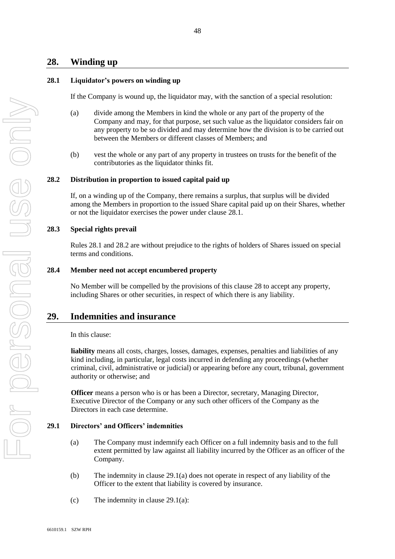# **28. Winding up**

## **28.1 Liquidator's powers on winding up**

If the Company is wound up, the liquidator may, with the sanction of a special resolution:

- (a) divide among the Members in kind the whole or any part of the property of the Company and may, for that purpose, set such value as the liquidator considers fair on any property to be so divided and may determine how the division is to be carried out between the Members or different classes of Members; and
- (b) vest the whole or any part of any property in trustees on trusts for the benefit of the contributories as the liquidator thinks fit.

#### **28.2 Distribution in proportion to issued capital paid up**

If, on a winding up of the Company, there remains a surplus, that surplus will be divided among the Members in proportion to the issued Share capital paid up on their Shares, whether or not the liquidator exercises the power under clause 28.1.

#### **28.3 Special rights prevail**

Rules 28.1 and 28.2 are without prejudice to the rights of holders of Shares issued on special terms and conditions.

#### **28.4 Member need not accept encumbered property**

No Member will be compelled by the provisions of this clause 28 to accept any property, including Shares or other securities, in respect of which there is any liability.

## **29. Indemnities and insurance**

In this clause:

**liability** means all costs, charges, losses, damages, expenses, penalties and liabilities of any kind including, in particular, legal costs incurred in defending any proceedings (whether criminal, civil, administrative or judicial) or appearing before any court, tribunal, government authority or otherwise; and

**Officer** means a person who is or has been a Director, secretary, Managing Director, Executive Director of the Company or any such other officers of the Company as the Directors in each case determine.

#### <span id="page-47-0"></span>**29.1 Directors' and Officers' indemnities**

- (a) The Company must indemnify each Officer on a full indemnity basis and to the full extent permitted by law against all liability incurred by the Officer as an officer of the Company.
- (b) The indemnity in clause [29.1\(a\)](#page-47-0) does not operate in respect of any liability of the Officer to the extent that liability is covered by insurance.
- (c) The indemnity in clause  $29.1(a)$ :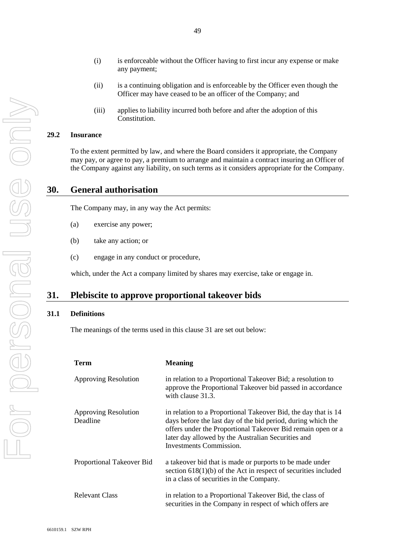49

- (i) is enforceable without the Officer having to first incur any expense or make any payment;
- (ii) is a continuing obligation and is enforceable by the Officer even though the Officer may have ceased to be an officer of the Company; and
- (iii) applies to liability incurred both before and after the adoption of this Constitution.

## **29.2 Insurance**

To the extent permitted by law, and where the Board considers it appropriate, the Company may pay, or agree to pay, a premium to arrange and maintain a contract insuring an Officer of the Company against any liability, on such terms as it considers appropriate for the Company.

# **30. General authorisation**

The Company may, in any way the Act permits:

- (a) exercise any power;
- (b) take any action; or
- (c) engage in any conduct or procedure,

which, under the Act a company limited by shares may exercise, take or engage in.

## <span id="page-48-0"></span>**31. Plebiscite to approve proportional takeover bids**

## <span id="page-48-1"></span>**31.1 Definitions**

The meanings of the terms used in this clause [31](#page-48-0) are set out below:

| <b>Term</b>                             | <b>Meaning</b>                                                                                                                                                                                                                                                                 |
|-----------------------------------------|--------------------------------------------------------------------------------------------------------------------------------------------------------------------------------------------------------------------------------------------------------------------------------|
| <b>Approving Resolution</b>             | in relation to a Proportional Takeover Bid; a resolution to<br>approve the Proportional Takeover bid passed in accordance<br>with clause 31.3.                                                                                                                                 |
| <b>Approving Resolution</b><br>Deadline | in relation to a Proportional Takeover Bid, the day that is 14<br>days before the last day of the bid period, during which the<br>offers under the Proportional Takeover Bid remain open or a<br>later day allowed by the Australian Securities and<br>Investments Commission. |
| Proportional Takeover Bid               | a takeover bid that is made or purports to be made under<br>section $618(1)(b)$ of the Act in respect of securities included<br>in a class of securities in the Company.                                                                                                       |
| <b>Relevant Class</b>                   | in relation to a Proportional Takeover Bid, the class of<br>securities in the Company in respect of which offers are                                                                                                                                                           |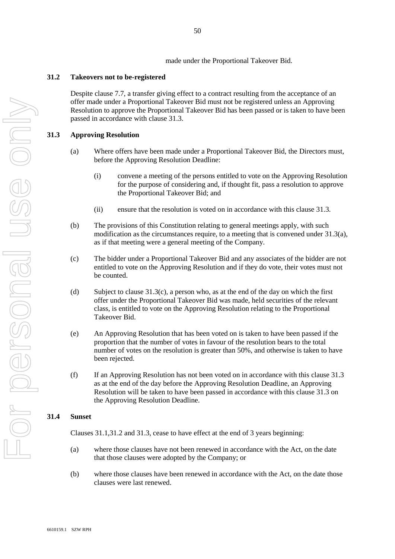made under the Proportional Takeover Bid.

## <span id="page-49-3"></span>**31.2 Takeovers not to be-registered**

Despite clause [7.7,](#page-16-0) a transfer giving effect to a contract resulting from the acceptance of an offer made under a Proportional Takeover Bid must not be registered unless an Approving Resolution to approve the Proportional Takeover Bid has been passed or is taken to have been passed in accordance with clause [31.3.](#page-49-0)

## <span id="page-49-1"></span><span id="page-49-0"></span>**31.3 Approving Resolution**

- (a) Where offers have been made under a Proportional Takeover Bid, the Directors must, before the Approving Resolution Deadline:
	- (i) convene a meeting of the persons entitled to vote on the Approving Resolution for the purpose of considering and, if thought fit, pass a resolution to approve the Proportional Takeover Bid; and
	- (ii) ensure that the resolution is voted on in accordance with this clause [31.3.](#page-49-0)
- (b) The provisions of this Constitution relating to general meetings apply, with such modification as the circumstances require, to a meeting that is convened under [31.3\(a\),](#page-49-1) as if that meeting were a general meeting of the Company.
- <span id="page-49-2"></span>(c) The bidder under a Proportional Takeover Bid and any associates of the bidder are not entitled to vote on the Approving Resolution and if they do vote, their votes must not be counted.
- (d) Subject to clause  $31.3(c)$ , a person who, as at the end of the day on which the first offer under the Proportional Takeover Bid was made, held securities of the relevant class, is entitled to vote on the Approving Resolution relating to the Proportional Takeover Bid.
- (e) An Approving Resolution that has been voted on is taken to have been passed if the proportion that the number of votes in favour of the resolution bears to the total number of votes on the resolution is greater than 50%, and otherwise is taken to have been rejected.
- (f) If an Approving Resolution has not been voted on in accordance with this clause [31.3](#page-49-0) as at the end of the day before the Approving Resolution Deadline, an Approving Resolution will be taken to have been passed in accordance with this clause [31.3](#page-49-0) on the Approving Resolution Deadline.

## **31.4 Sunset**

Clauses [31.1](#page-48-1)[,31.2](#page-49-3) and [31.3,](#page-49-0) cease to have effect at the end of 3 years beginning:

- (a) where those clauses have not been renewed in accordance with the Act, on the date that those clauses were adopted by the Company; or
- (b) where those clauses have been renewed in accordance with the Act, on the date those clauses were last renewed.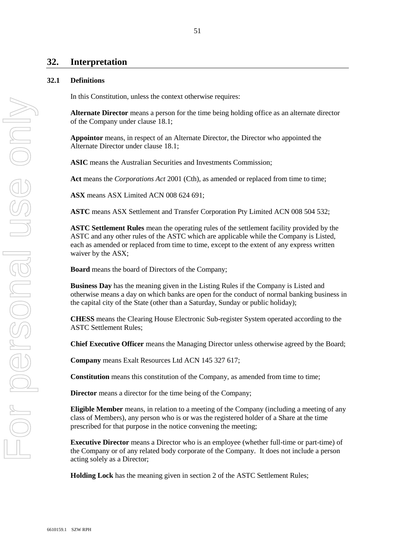# **32. Interpretation**

## **32.1 Definitions**

In this Constitution, unless the context otherwise requires:

**Alternate Director** means a person for the time being holding office as an alternate director of the Company under clause 18.1;

**Appointor** means, in respect of an Alternate Director, the Director who appointed the Alternate Director under clause 18.1;

**ASIC** means the Australian Securities and Investments Commission;

**Act** means the *Corporations Act* 2001 (Cth), as amended or replaced from time to time;

**ASX** means ASX Limited ACN 008 624 691;

**ASTC** means ASX Settlement and Transfer Corporation Pty Limited ACN 008 504 532;

**ASTC Settlement Rules** mean the operating rules of the settlement facility provided by the ASTC and any other rules of the ASTC which are applicable while the Company is Listed, each as amended or replaced from time to time, except to the extent of any express written waiver by the ASX;

**Board** means the board of Directors of the Company;

**Business Day** has the meaning given in the Listing Rules if the Company is Listed and otherwise means a day on which banks are open for the conduct of normal banking business in the capital city of the State (other than a Saturday, Sunday or public holiday);

**CHESS** means the Clearing House Electronic Sub-register System operated according to the ASTC Settlement Rules;

**Chief Executive Officer** means the Managing Director unless otherwise agreed by the Board;

**Company** means Exalt Resources Ltd ACN 145 327 617;

**Constitution** means this constitution of the Company, as amended from time to time;

**Director** means a director for the time being of the Company;

**Eligible Member** means, in relation to a meeting of the Company (including a meeting of any class of Members), any person who is or was the registered holder of a Share at the time prescribed for that purpose in the notice convening the meeting;

**Executive Director** means a Director who is an employee (whether full-time or part-time) of the Company or of any related body corporate of the Company. It does not include a person acting solely as a Director;

**Holding Lock** has the meaning given in section 2 of the ASTC Settlement Rules;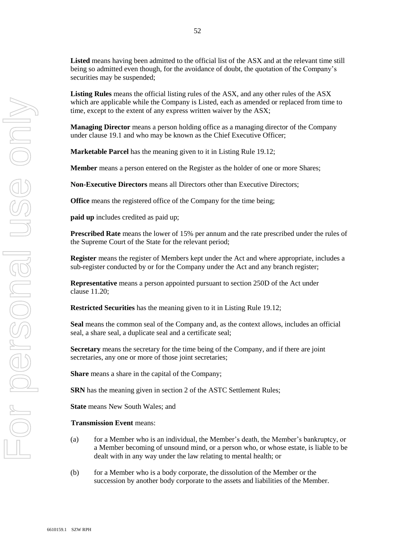**Listed** means having been admitted to the official list of the ASX and at the relevant time still being so admitted even though, for the avoidance of doubt, the quotation of the Company's securities may be suspended;

**Listing Rules** means the official listing rules of the ASX, and any other rules of the ASX which are applicable while the Company is Listed, each as amended or replaced from time to time, except to the extent of any express written waiver by the ASX;

**Managing Director** means a person holding office as a managing director of the Company under clause 19.1 and who may be known as the Chief Executive Officer;

**Marketable Parcel** has the meaning given to it in Listing Rule 19.12;

**Member** means a person entered on the Register as the holder of one or more Shares;

**Non-Executive Directors** means all Directors other than Executive Directors;

**Office** means the registered office of the Company for the time being;

**paid up** includes credited as paid up;

**Prescribed Rate** means the lower of 15% per annum and the rate prescribed under the rules of the Supreme Court of the State for the relevant period;

**Register** means the register of Members kept under the Act and where appropriate, includes a sub-register conducted by or for the Company under the Act and any branch register;

**Representative** means a person appointed pursuant to section 250D of the Act under clause 11.20;

**Restricted Securities** has the meaning given to it in Listing Rule 19.12;

**Seal** means the common seal of the Company and, as the context allows, includes an official seal, a share seal, a duplicate seal and a certificate seal;

**Secretary** means the secretary for the time being of the Company, and if there are joint secretaries, any one or more of those joint secretaries;

**Share** means a share in the capital of the Company;

**SRN** has the meaning given in section 2 of the ASTC Settlement Rules;

**State** means New South Wales; and

#### **Transmission Event** means:

- (a) for a Member who is an individual, the Member's death, the Member's bankruptcy, or a Member becoming of unsound mind, or a person who, or whose estate, is liable to be dealt with in any way under the law relating to mental health; or
- (b) for a Member who is a body corporate, the dissolution of the Member or the succession by another body corporate to the assets and liabilities of the Member.